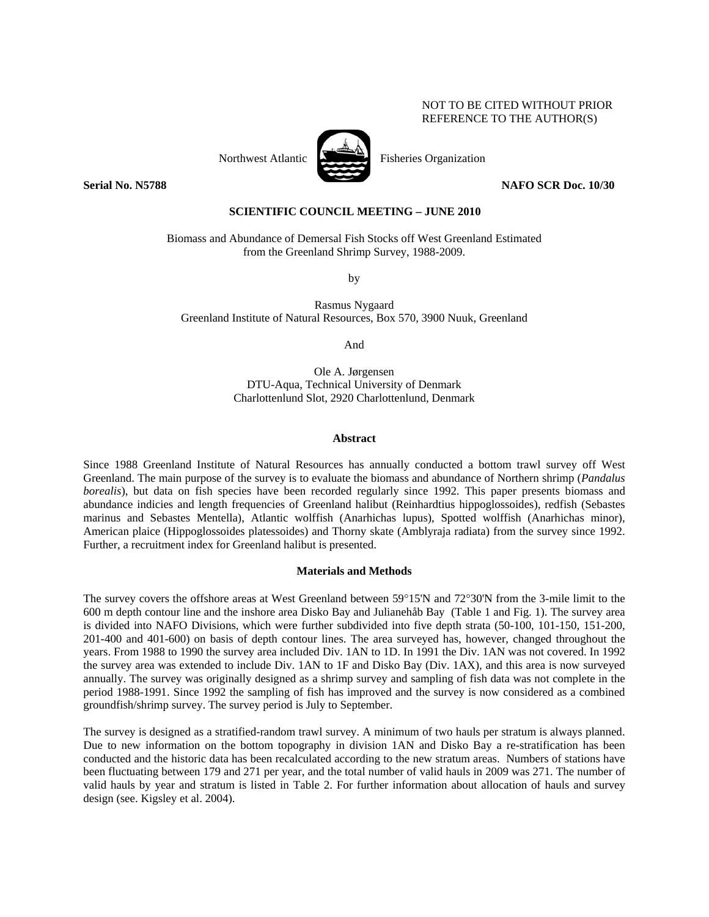## NOT TO BE CITED WITHOUT PRIOR REFERENCE TO THE AUTHOR(S)

Northwest Atlantic Fisheries Organization

**Serial No. N5788 NAFO SCR Doc. 10/30** 

# **SCIENTIFIC COUNCIL MEETING – JUNE 2010**

Biomass and Abundance of Demersal Fish Stocks off West Greenland Estimated from the Greenland Shrimp Survey, 1988-2009.

by

Rasmus Nygaard Greenland Institute of Natural Resources, Box 570, 3900 Nuuk, Greenland

And

Ole A. Jørgensen DTU-Aqua, Technical University of Denmark Charlottenlund Slot, 2920 Charlottenlund, Denmark

### **Abstract**

Since 1988 Greenland Institute of Natural Resources has annually conducted a bottom trawl survey off West Greenland. The main purpose of the survey is to evaluate the biomass and abundance of Northern shrimp (*Pandalus borealis*), but data on fish species have been recorded regularly since 1992. This paper presents biomass and abundance indicies and length frequencies of Greenland halibut (Reinhardtius hippoglossoides), redfish (Sebastes marinus and Sebastes Mentella), Atlantic wolffish (Anarhichas lupus), Spotted wolffish (Anarhichas minor), American plaice (Hippoglossoides platessoides) and Thorny skate (Amblyraja radiata) from the survey since 1992. Further, a recruitment index for Greenland halibut is presented.

#### **Materials and Methods**

The survey covers the offshore areas at West Greenland between 59°15'N and 72°30'N from the 3-mile limit to the 600 m depth contour line and the inshore area Disko Bay and Julianehåb Bay (Table 1 and Fig. 1). The survey area is divided into NAFO Divisions, which were further subdivided into five depth strata (50-100, 101-150, 151-200, 201-400 and 401-600) on basis of depth contour lines. The area surveyed has, however, changed throughout the years. From 1988 to 1990 the survey area included Div. 1AN to 1D. In 1991 the Div. 1AN was not covered. In 1992 the survey area was extended to include Div. 1AN to 1F and Disko Bay (Div. 1AX), and this area is now surveyed annually. The survey was originally designed as a shrimp survey and sampling of fish data was not complete in the period 1988-1991. Since 1992 the sampling of fish has improved and the survey is now considered as a combined groundfish/shrimp survey. The survey period is July to September.

The survey is designed as a stratified-random trawl survey. A minimum of two hauls per stratum is always planned. Due to new information on the bottom topography in division 1AN and Disko Bay a re-stratification has been conducted and the historic data has been recalculated according to the new stratum areas. Numbers of stations have been fluctuating between 179 and 271 per year, and the total number of valid hauls in 2009 was 271. The number of valid hauls by year and stratum is listed in Table 2. For further information about allocation of hauls and survey design (see. Kigsley et al. 2004).

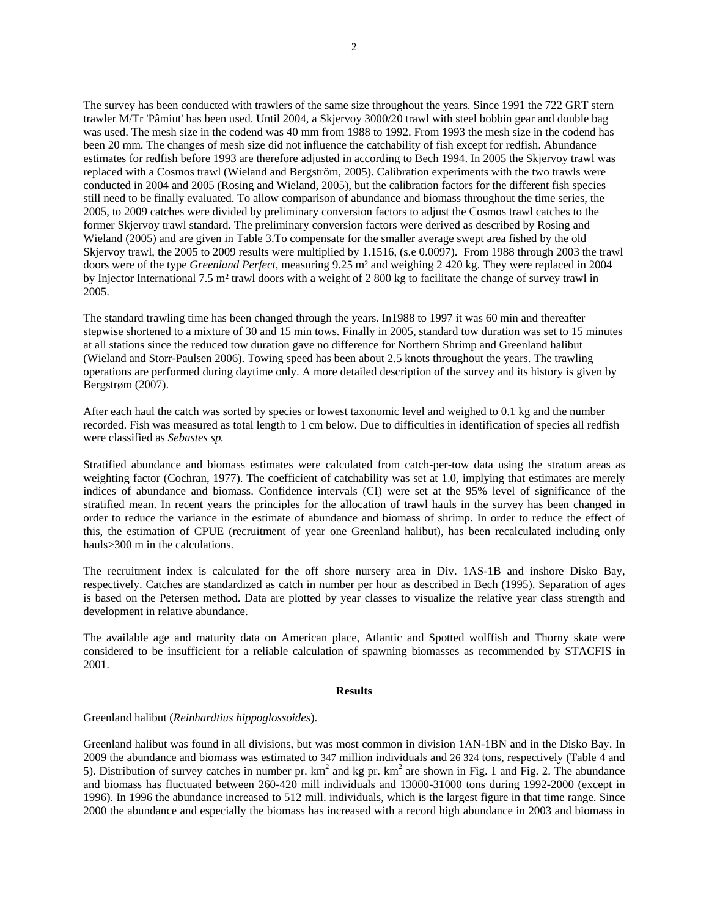The survey has been conducted with trawlers of the same size throughout the years. Since 1991 the 722 GRT stern trawler M/Tr 'Pâmiut' has been used. Until 2004, a Skjervoy 3000/20 trawl with steel bobbin gear and double bag was used. The mesh size in the codend was 40 mm from 1988 to 1992. From 1993 the mesh size in the codend has been 20 mm. The changes of mesh size did not influence the catchability of fish except for redfish. Abundance estimates for redfish before 1993 are therefore adjusted in according to Bech 1994. In 2005 the Skjervoy trawl was replaced with a Cosmos trawl (Wieland and Bergström, 2005). Calibration experiments with the two trawls were conducted in 2004 and 2005 (Rosing and Wieland, 2005), but the calibration factors for the different fish species still need to be finally evaluated. To allow comparison of abundance and biomass throughout the time series, the 2005, to 2009 catches were divided by preliminary conversion factors to adjust the Cosmos trawl catches to the former Skjervoy trawl standard. The preliminary conversion factors were derived as described by Rosing and Wieland (2005) and are given in Table 3.To compensate for the smaller average swept area fished by the old Skjervoy trawl, the 2005 to 2009 results were multiplied by 1.1516, (s.e 0.0097). From 1988 through 2003 the trawl doors were of the type *Greenland Perfect*, measuring 9.25 m² and weighing 2 420 kg. They were replaced in 2004 by Injector International 7.5 m² trawl doors with a weight of 2 800 kg to facilitate the change of survey trawl in 2005.

The standard trawling time has been changed through the years. In1988 to 1997 it was 60 min and thereafter stepwise shortened to a mixture of 30 and 15 min tows. Finally in 2005, standard tow duration was set to 15 minutes at all stations since the reduced tow duration gave no difference for Northern Shrimp and Greenland halibut (Wieland and Storr-Paulsen 2006). Towing speed has been about 2.5 knots throughout the years. The trawling operations are performed during daytime only. A more detailed description of the survey and its history is given by Bergstrøm (2007).

After each haul the catch was sorted by species or lowest taxonomic level and weighed to 0.1 kg and the number recorded. Fish was measured as total length to 1 cm below. Due to difficulties in identification of species all redfish were classified as *Sebastes sp.*

Stratified abundance and biomass estimates were calculated from catch-per-tow data using the stratum areas as weighting factor (Cochran, 1977). The coefficient of catchability was set at 1.0, implying that estimates are merely indices of abundance and biomass. Confidence intervals (CI) were set at the 95% level of significance of the stratified mean. In recent years the principles for the allocation of trawl hauls in the survey has been changed in order to reduce the variance in the estimate of abundance and biomass of shrimp. In order to reduce the effect of this, the estimation of CPUE (recruitment of year one Greenland halibut), has been recalculated including only hauls>300 m in the calculations.

The recruitment index is calculated for the off shore nursery area in Div. 1AS-1B and inshore Disko Bay, respectively. Catches are standardized as catch in number per hour as described in Bech (1995). Separation of ages is based on the Petersen method. Data are plotted by year classes to visualize the relative year class strength and development in relative abundance.

The available age and maturity data on American place, Atlantic and Spotted wolffish and Thorny skate were considered to be insufficient for a reliable calculation of spawning biomasses as recommended by STACFIS in 2001.

#### **Results**

#### Greenland halibut (*Reinhardtius hippoglossoides*).

Greenland halibut was found in all divisions, but was most common in division 1AN-1BN and in the Disko Bay. In 2009 the abundance and biomass was estimated to 347 million individuals and 26 324 tons, respectively (Table 4 and 5). Distribution of survey catches in number pr.  $km^2$  and kg pr.  $km^2$  are shown in Fig. 1 and Fig. 2. The abundance and biomass has fluctuated between 260-420 mill individuals and 13000-31000 tons during 1992-2000 (except in 1996). In 1996 the abundance increased to 512 mill. individuals, which is the largest figure in that time range. Since 2000 the abundance and especially the biomass has increased with a record high abundance in 2003 and biomass in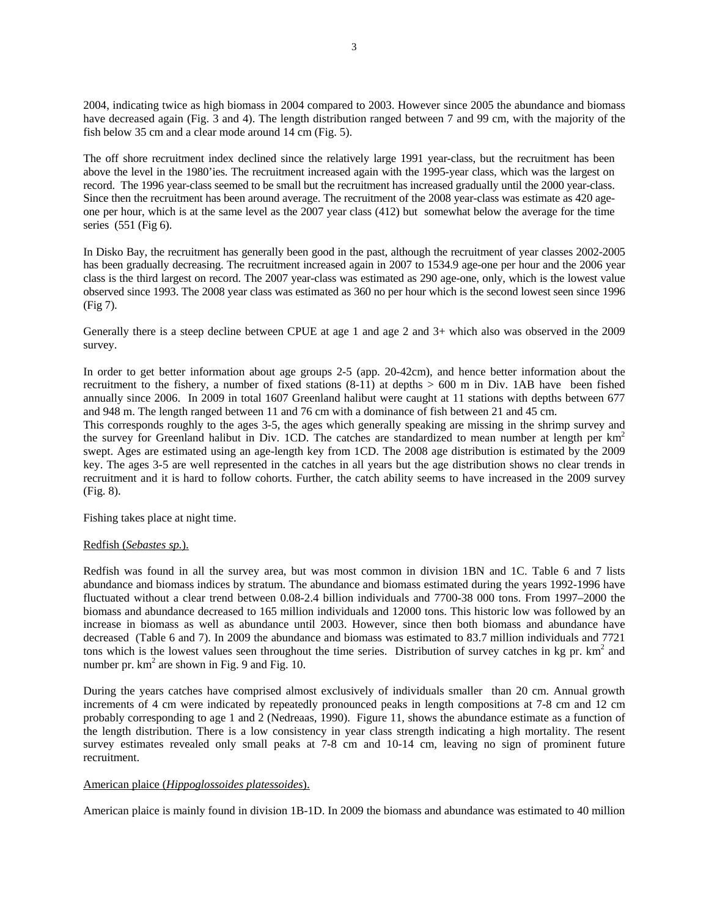2004, indicating twice as high biomass in 2004 compared to 2003. However since 2005 the abundance and biomass have decreased again (Fig. 3 and 4). The length distribution ranged between 7 and 99 cm, with the majority of the fish below 35 cm and a clear mode around 14 cm (Fig. 5).

The off shore recruitment index declined since the relatively large 1991 year-class, but the recruitment has been above the level in the 1980'ies. The recruitment increased again with the 1995-year class, which was the largest on record. The 1996 year-class seemed to be small but the recruitment has increased gradually until the 2000 year-class. Since then the recruitment has been around average. The recruitment of the 2008 year-class was estimate as 420 ageone per hour, which is at the same level as the 2007 year class (412) but somewhat below the average for the time series (551 (Fig 6).

In Disko Bay, the recruitment has generally been good in the past, although the recruitment of year classes 2002-2005 has been gradually decreasing. The recruitment increased again in 2007 to 1534.9 age-one per hour and the 2006 year class is the third largest on record. The 2007 year-class was estimated as 290 age-one, only, which is the lowest value observed since 1993. The 2008 year class was estimated as 360 no per hour which is the second lowest seen since 1996 (Fig 7).

Generally there is a steep decline between CPUE at age 1 and age 2 and 3+ which also was observed in the 2009 survey.

In order to get better information about age groups 2-5 (app. 20-42cm), and hence better information about the recruitment to the fishery, a number of fixed stations (8-11) at depths > 600 m in Div. 1AB have been fished annually since 2006. In 2009 in total 1607 Greenland halibut were caught at 11 stations with depths between 677 and 948 m. The length ranged between 11 and 76 cm with a dominance of fish between 21 and 45 cm.

This corresponds roughly to the ages 3-5, the ages which generally speaking are missing in the shrimp survey and the survey for Greenland halibut in Div. 1CD. The catches are standardized to mean number at length per km<sup>2</sup> swept. Ages are estimated using an age-length key from 1CD. The 2008 age distribution is estimated by the 2009 key. The ages 3-5 are well represented in the catches in all years but the age distribution shows no clear trends in recruitment and it is hard to follow cohorts. Further, the catch ability seems to have increased in the 2009 survey (Fig. 8).

Fishing takes place at night time.

## Redfish (*Sebastes sp.*).

Redfish was found in all the survey area, but was most common in division 1BN and 1C. Table 6 and 7 lists abundance and biomass indices by stratum. The abundance and biomass estimated during the years 1992-1996 have fluctuated without a clear trend between 0.08-2.4 billion individuals and 7700-38 000 tons. From 1997–2000 the biomass and abundance decreased to 165 million individuals and 12000 tons. This historic low was followed by an increase in biomass as well as abundance until 2003. However, since then both biomass and abundance have decreased (Table 6 and 7). In 2009 the abundance and biomass was estimated to 83.7 million individuals and 7721 tons which is the lowest values seen throughout the time series. Distribution of survey catches in kg pr.  $km<sup>2</sup>$  and number pr.  $km^2$  are shown in Fig. 9 and Fig. 10.

During the years catches have comprised almost exclusively of individuals smaller than 20 cm. Annual growth increments of 4 cm were indicated by repeatedly pronounced peaks in length compositions at 7-8 cm and 12 cm probably corresponding to age 1 and 2 (Nedreaas, 1990). Figure 11, shows the abundance estimate as a function of the length distribution. There is a low consistency in year class strength indicating a high mortality. The resent survey estimates revealed only small peaks at 7-8 cm and 10-14 cm, leaving no sign of prominent future recruitment.

## American plaice (*Hippoglossoides platessoides*).

American plaice is mainly found in division 1B-1D. In 2009 the biomass and abundance was estimated to 40 million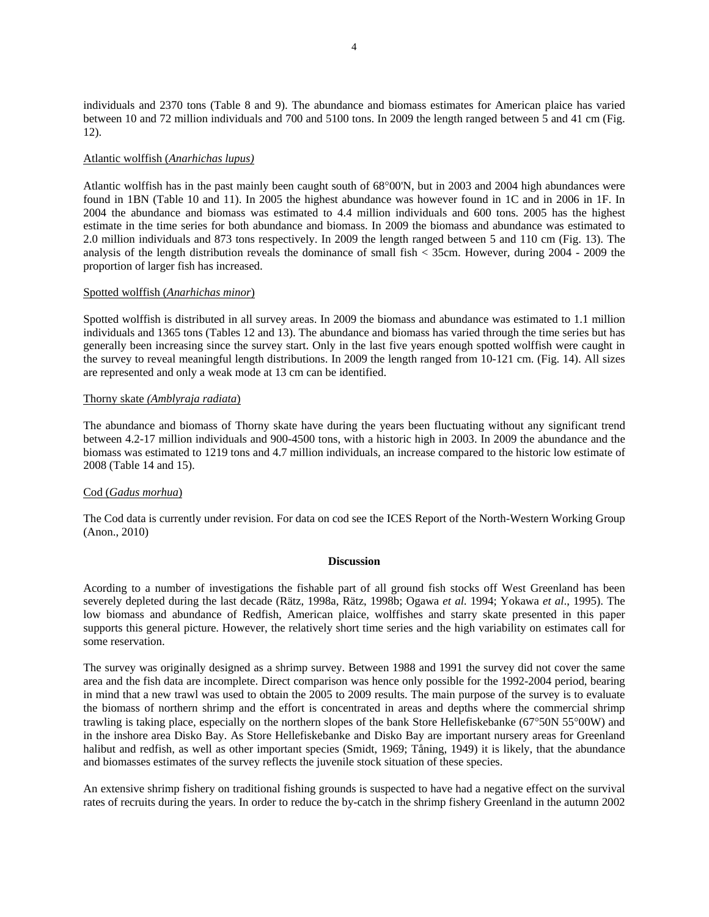individuals and 2370 tons (Table 8 and 9). The abundance and biomass estimates for American plaice has varied between 10 and 72 million individuals and 700 and 5100 tons. In 2009 the length ranged between 5 and 41 cm (Fig. 12).

### Atlantic wolffish (*Anarhichas lupus)*

Atlantic wolffish has in the past mainly been caught south of 68°00'N, but in 2003 and 2004 high abundances were found in 1BN (Table 10 and 11). In 2005 the highest abundance was however found in 1C and in 2006 in 1F. In 2004 the abundance and biomass was estimated to 4.4 million individuals and 600 tons. 2005 has the highest estimate in the time series for both abundance and biomass. In 2009 the biomass and abundance was estimated to 2.0 million individuals and 873 tons respectively. In 2009 the length ranged between 5 and 110 cm (Fig. 13). The analysis of the length distribution reveals the dominance of small fish < 35cm. However, during 2004 - 2009 the proportion of larger fish has increased.

#### Spotted wolffish (*Anarhichas minor*)

Spotted wolffish is distributed in all survey areas. In 2009 the biomass and abundance was estimated to 1.1 million individuals and 1365 tons (Tables 12 and 13). The abundance and biomass has varied through the time series but has generally been increasing since the survey start. Only in the last five years enough spotted wolffish were caught in the survey to reveal meaningful length distributions. In 2009 the length ranged from 10-121 cm. (Fig. 14). All sizes are represented and only a weak mode at 13 cm can be identified.

#### Thorny skate *(Amblyraja radiata*)

The abundance and biomass of Thorny skate have during the years been fluctuating without any significant trend between 4.2-17 million individuals and 900-4500 tons, with a historic high in 2003. In 2009 the abundance and the biomass was estimated to 1219 tons and 4.7 million individuals, an increase compared to the historic low estimate of 2008 (Table 14 and 15).

## Cod (*Gadus morhua*)

The Cod data is currently under revision. For data on cod see the ICES Report of the North-Western Working Group (Anon., 2010)

#### **Discussion**

Acording to a number of investigations the fishable part of all ground fish stocks off West Greenland has been severely depleted during the last decade (Rätz, 1998a, Rätz, 1998b; Ogawa *et al*. 1994; Yokawa *et al*., 1995). The low biomass and abundance of Redfish, American plaice, wolffishes and starry skate presented in this paper supports this general picture. However, the relatively short time series and the high variability on estimates call for some reservation.

The survey was originally designed as a shrimp survey. Between 1988 and 1991 the survey did not cover the same area and the fish data are incomplete. Direct comparison was hence only possible for the 1992-2004 period, bearing in mind that a new trawl was used to obtain the 2005 to 2009 results. The main purpose of the survey is to evaluate the biomass of northern shrimp and the effort is concentrated in areas and depths where the commercial shrimp trawling is taking place, especially on the northern slopes of the bank Store Hellefiskebanke (67°50N 55°00W) and in the inshore area Disko Bay. As Store Hellefiskebanke and Disko Bay are important nursery areas for Greenland halibut and redfish, as well as other important species (Smidt, 1969; Tåning, 1949) it is likely, that the abundance and biomasses estimates of the survey reflects the juvenile stock situation of these species.

An extensive shrimp fishery on traditional fishing grounds is suspected to have had a negative effect on the survival rates of recruits during the years. In order to reduce the by-catch in the shrimp fishery Greenland in the autumn 2002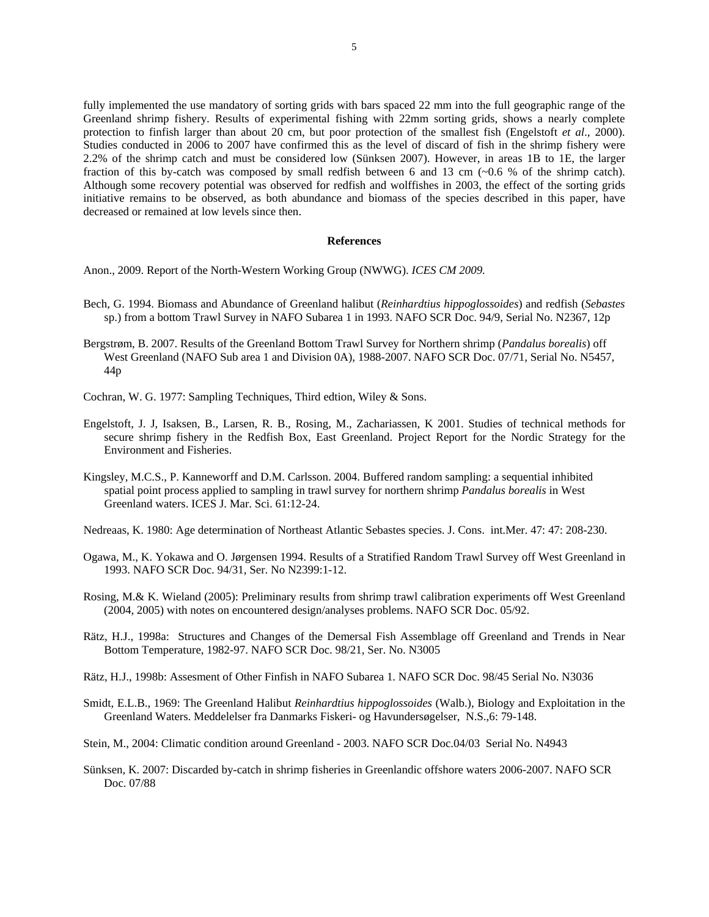fully implemented the use mandatory of sorting grids with bars spaced 22 mm into the full geographic range of the Greenland shrimp fishery. Results of experimental fishing with 22mm sorting grids, shows a nearly complete protection to finfish larger than about 20 cm, but poor protection of the smallest fish (Engelstoft *et al*., 2000). Studies conducted in 2006 to 2007 have confirmed this as the level of discard of fish in the shrimp fishery were 2.2% of the shrimp catch and must be considered low (Sünksen 2007). However, in areas 1B to 1E, the larger fraction of this by-catch was composed by small redfish between 6 and 13 cm (~0.6 % of the shrimp catch). Although some recovery potential was observed for redfish and wolffishes in 2003, the effect of the sorting grids initiative remains to be observed, as both abundance and biomass of the species described in this paper, have decreased or remained at low levels since then.

#### **References**

Anon., 2009. Report of the North-Western Working Group (NWWG). *ICES CM 2009.*

- Bech, G. 1994. Biomass and Abundance of Greenland halibut (*Reinhardtius hippoglossoides*) and redfish (*Sebastes* sp.) from a bottom Trawl Survey in NAFO Subarea 1 in 1993. NAFO SCR Doc. 94/9, Serial No. N2367, 12p
- Bergstrøm, B. 2007. Results of the Greenland Bottom Trawl Survey for Northern shrimp (*Pandalus borealis*) off West Greenland (NAFO Sub area 1 and Division 0A), 1988-2007. NAFO SCR Doc. 07/71, Serial No. N5457, 44p
- Cochran, W. G. 1977: Sampling Techniques, Third edtion, Wiley & Sons.
- Engelstoft, J. J, Isaksen, B., Larsen, R. B., Rosing, M., Zachariassen, K 2001. Studies of technical methods for secure shrimp fishery in the Redfish Box, East Greenland. Project Report for the Nordic Strategy for the Environment and Fisheries.
- Kingsley, M.C.S., P. Kanneworff and D.M. Carlsson. 2004. Buffered random sampling: a sequential inhibited spatial point process applied to sampling in trawl survey for northern shrimp *Pandalus borealis* in West Greenland waters. ICES J. Mar. Sci. 61:12-24.
- Nedreaas, K. 1980: Age determination of Northeast Atlantic Sebastes species. J. Cons. int.Mer. 47: 47: 208-230.
- Ogawa, M., K. Yokawa and O. Jørgensen 1994. Results of a Stratified Random Trawl Survey off West Greenland in 1993. NAFO SCR Doc. 94/31, Ser. No N2399:1-12.
- Rosing, M.& K. Wieland (2005): Preliminary results from shrimp trawl calibration experiments off West Greenland (2004, 2005) with notes on encountered design/analyses problems. NAFO SCR Doc. 05/92.
- Rätz, H.J., 1998a: Structures and Changes of the Demersal Fish Assemblage off Greenland and Trends in Near Bottom Temperature, 1982-97. NAFO SCR Doc. 98/21, Ser. No. N3005
- Rätz, H.J., 1998b: Assesment of Other Finfish in NAFO Subarea 1. NAFO SCR Doc. 98/45 Serial No. N3036
- Smidt, E.L.B., 1969: The Greenland Halibut *Reinhardtius hippoglossoides* (Walb.), Biology and Exploitation in the Greenland Waters. Meddelelser fra Danmarks Fiskeri- og Havundersøgelser, N.S.,6: 79-148.
- Stein, M., 2004: Climatic condition around Greenland 2003. NAFO SCR Doc.04/03 Serial No. N4943
- Sünksen, K. 2007: Discarded by-catch in shrimp fisheries in Greenlandic offshore waters 2006-2007. NAFO SCR Doc. 07/88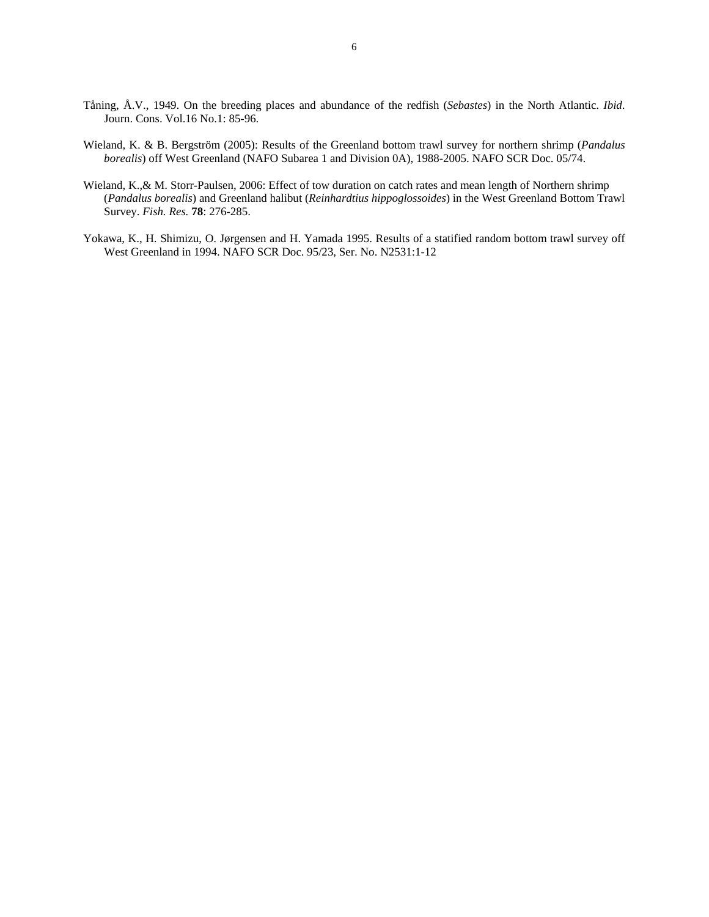- Tåning, Å.V., 1949. On the breeding places and abundance of the redfish (*Sebastes*) in the North Atlantic. *Ibid*. Journ. Cons. Vol.16 No.1: 85-96.
- Wieland, K. & B. Bergström (2005): Results of the Greenland bottom trawl survey for northern shrimp (*Pandalus borealis*) off West Greenland (NAFO Subarea 1 and Division 0A), 1988-2005. NAFO SCR Doc. 05/74.
- Wieland, K.,& M. Storr-Paulsen, 2006: Effect of tow duration on catch rates and mean length of Northern shrimp (*Pandalus borealis*) and Greenland halibut (*Reinhardtius hippoglossoides*) in the West Greenland Bottom Trawl Survey. *Fish. Res.* **78**: 276-285.
- Yokawa, K., H. Shimizu, O. Jørgensen and H. Yamada 1995. Results of a statified random bottom trawl survey off West Greenland in 1994. NAFO SCR Doc. 95/23, Ser. No. N2531:1-12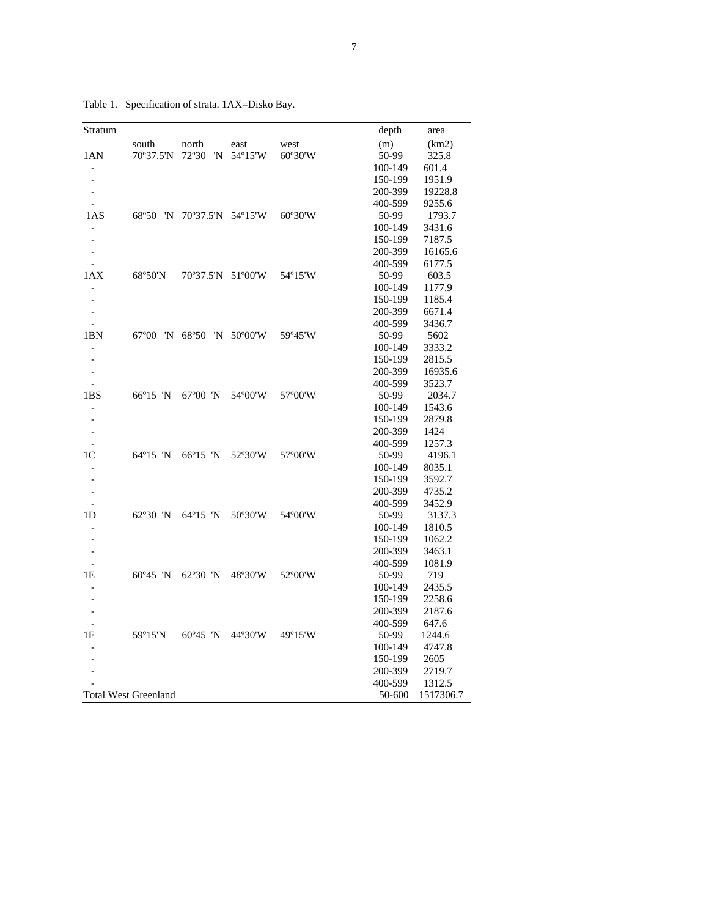Table 1. Specification of strata. 1AX=Disko Bay.

| Stratum                  |                             |                   |            |                  | depth   | area      |
|--------------------------|-----------------------------|-------------------|------------|------------------|---------|-----------|
|                          | south                       | north             | east       | west             | (m)     | (km2)     |
| 1AN                      | 70°37.5'N                   | 72°30<br>'N       | 54°15'W    | 60°30'W          | 50-99   | 325.8     |
| $\overline{\phantom{a}}$ |                             |                   |            |                  | 100-149 | 601.4     |
| $\overline{a}$           |                             |                   |            |                  | 150-199 | 1951.9    |
| $\overline{a}$           |                             |                   |            |                  | 200-399 | 19228.8   |
|                          |                             |                   |            |                  | 400-599 | 9255.6    |
| 1AS                      | 68°50<br>'N                 | 70°37.5'N 54°15'W |            | 60°30'W          | 50-99   | 1793.7    |
|                          |                             |                   |            |                  | 100-149 | 3431.6    |
|                          |                             |                   |            |                  | 150-199 | 7187.5    |
|                          |                             |                   |            |                  | 200-399 | 16165.6   |
|                          |                             |                   |            |                  | 400-599 | 6177.5    |
| 1AX                      | 68°50'N                     | 70°37.5'N 51°00'W |            | 54°15'W          | 50-99   | 603.5     |
|                          |                             |                   |            |                  | 100-149 | 1177.9    |
|                          |                             |                   |            |                  | 150-199 | 1185.4    |
|                          |                             |                   |            |                  | 200-399 | 6671.4    |
|                          |                             |                   |            |                  | 400-599 | 3436.7    |
| 1BN                      | $67^{\circ}00$<br>'N        | 68°50             | 'N 50°00'W | 59°45'W          | 50-99   | 5602      |
|                          |                             |                   |            |                  | 100-149 | 3333.2    |
|                          |                             |                   |            |                  | 150-199 | 2815.5    |
| $\overline{\phantom{a}}$ |                             |                   |            |                  | 200-399 | 16935.6   |
|                          |                             |                   |            |                  | 400-599 | 3523.7    |
| 1BS                      | $66^{\circ}15$ 'N           | $67^{\circ}00$ 'N | 54°00'W    | 57°00'W          | 50-99   | 2034.7    |
|                          |                             |                   |            |                  | 100-149 | 1543.6    |
|                          |                             |                   |            |                  | 150-199 | 2879.8    |
|                          |                             |                   |            |                  | 200-399 | 1424      |
| $\overline{a}$           |                             |                   |            |                  | 400-599 | 1257.3    |
| 1 <sup>C</sup>           | $64^{\circ}15$ 'N           | 66°15 'N          | 52°30'W    | 57°00'W          | 50-99   | 4196.1    |
|                          |                             |                   |            |                  | 100-149 | 8035.1    |
|                          |                             |                   |            |                  | 150-199 | 3592.7    |
| $\overline{a}$           |                             |                   |            |                  | 200-399 | 4735.2    |
|                          |                             |                   |            |                  | 400-599 | 3452.9    |
| 1D                       | 62°30 'N                    | 64°15 'N          | 50°30'W    | 54°00'W          | 50-99   | 3137.3    |
|                          |                             |                   |            |                  | 100-149 | 1810.5    |
|                          |                             |                   |            |                  | 150-199 | 1062.2    |
|                          |                             |                   |            |                  | 200-399 | 3463.1    |
|                          |                             |                   |            |                  | 400-599 | 1081.9    |
| 1E                       | $60^{\circ}45$ 'N           | $62^{\circ}30$ 'N | 48°30'W    | 52°00'W          | 50-99   | 719       |
|                          |                             |                   |            |                  | 100-149 | 2435.5    |
|                          |                             |                   |            |                  | 150-199 | 2258.6    |
|                          |                             |                   |            |                  | 200-399 | 2187.6    |
|                          |                             |                   |            |                  | 400-599 | 647.6     |
| 1F                       | 59°15'N                     | $60^{\circ}45$ 'N | 44°30'W    | $49^{\circ}15'W$ | 50-99   | 1244.6    |
|                          |                             |                   |            |                  | 100-149 | 4747.8    |
|                          |                             |                   |            |                  | 150-199 | 2605      |
|                          |                             |                   |            |                  | 200-399 | 2719.7    |
|                          |                             |                   |            |                  | 400-599 | 1312.5    |
|                          | <b>Total West Greenland</b> |                   |            |                  | 50-600  | 1517306.7 |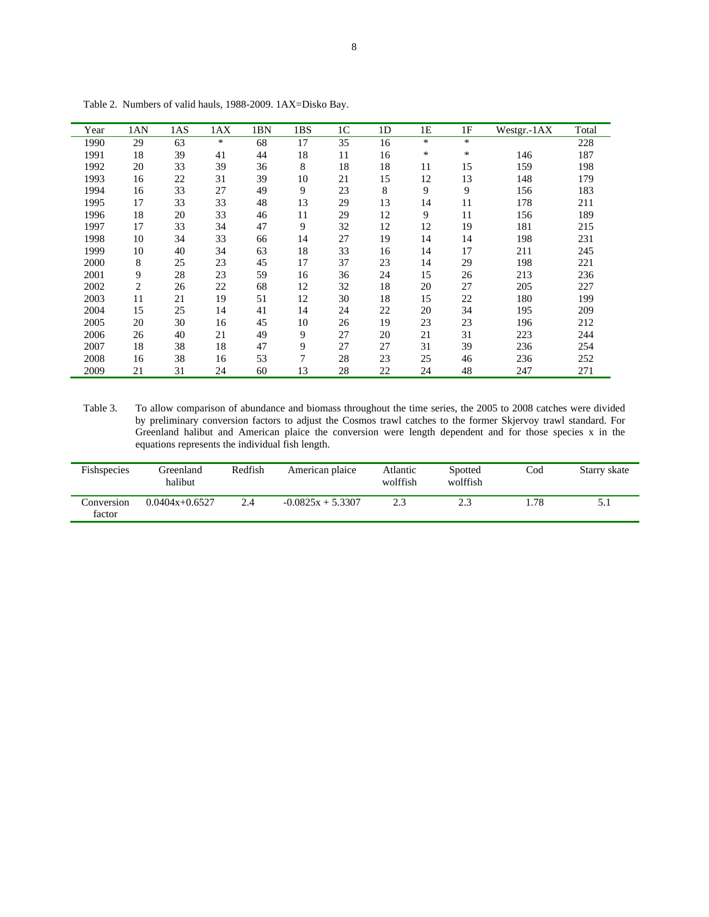| Year | 1AN            | 1AS | 1AX | 1BN | 1BS | 1 <sup>C</sup> | 1 <sub>D</sub> | 1E | 1F     | Westgr.-1AX | Total |
|------|----------------|-----|-----|-----|-----|----------------|----------------|----|--------|-------------|-------|
| 1990 | 29             | 63  | ∗   | 68  | 17  | 35             | 16             | *  | $\ast$ |             | 228   |
| 1991 | 18             | 39  | 41  | 44  | 18  | 11             | 16             | *  | $\ast$ | 146         | 187   |
| 1992 | 20             | 33  | 39  | 36  | 8   | 18             | 18             | 11 | 15     | 159         | 198   |
| 1993 | 16             | 22  | 31  | 39  | 10  | 21             | 15             | 12 | 13     | 148         | 179   |
| 1994 | 16             | 33  | 27  | 49  | 9   | 23             | 8              | 9  | 9      | 156         | 183   |
| 1995 | 17             | 33  | 33  | 48  | 13  | 29             | 13             | 14 | 11     | 178         | 211   |
| 1996 | 18             | 20  | 33  | 46  | 11  | 29             | 12             | 9  | 11     | 156         | 189   |
| 1997 | 17             | 33  | 34  | 47  | 9   | 32             | 12             | 12 | 19     | 181         | 215   |
| 1998 | 10             | 34  | 33  | 66  | 14  | 27             | 19             | 14 | 14     | 198         | 231   |
| 1999 | 10             | 40  | 34  | 63  | 18  | 33             | 16             | 14 | 17     | 211         | 245   |
| 2000 | 8              | 25  | 23  | 45  | 17  | 37             | 23             | 14 | 29     | 198         | 221   |
| 2001 | 9              | 28  | 23  | 59  | 16  | 36             | 24             | 15 | 26     | 213         | 236   |
| 2002 | $\overline{c}$ | 26  | 22  | 68  | 12  | 32             | 18             | 20 | 27     | 205         | 227   |
| 2003 | 11             | 21  | 19  | 51  | 12  | 30             | 18             | 15 | 22     | 180         | 199   |
| 2004 | 15             | 25  | 14  | 41  | 14  | 24             | 22             | 20 | 34     | 195         | 209   |
| 2005 | 20             | 30  | 16  | 45  | 10  | 26             | 19             | 23 | 23     | 196         | 212   |
| 2006 | 26             | 40  | 21  | 49  | 9   | 27             | 20             | 21 | 31     | 223         | 244   |
| 2007 | 18             | 38  | 18  | 47  | 9   | 27             | 27             | 31 | 39     | 236         | 254   |
| 2008 | 16             | 38  | 16  | 53  | 7   | 28             | 23             | 25 | 46     | 236         | 252   |
| 2009 | 21             | 31  | 24  | 60  | 13  | 28             | 22             | 24 | 48     | 247         | 271   |

Table 2. Numbers of valid hauls, 1988-2009. 1AX=Disko Bay.

Table 3. To allow comparison of abundance and biomass throughout the time series, the 2005 to 2008 catches were divided by preliminary conversion factors to adjust the Cosmos trawl catches to the former Skjervoy trawl standard. For Greenland halibut and American plaice the conversion were length dependent and for those species x in the equations represents the individual fish length.

| Fishspecies          | Greenland<br>halibut | Redfish | American plaice     | Atlantic<br>wolffish | Spotted<br>wolffish | Cod | Starry skate |
|----------------------|----------------------|---------|---------------------|----------------------|---------------------|-----|--------------|
| Conversion<br>factor | $0.0404x+0.6527$     | 2.4     | $-0.0825x + 5.3307$ |                      |                     | .78 | 5.1          |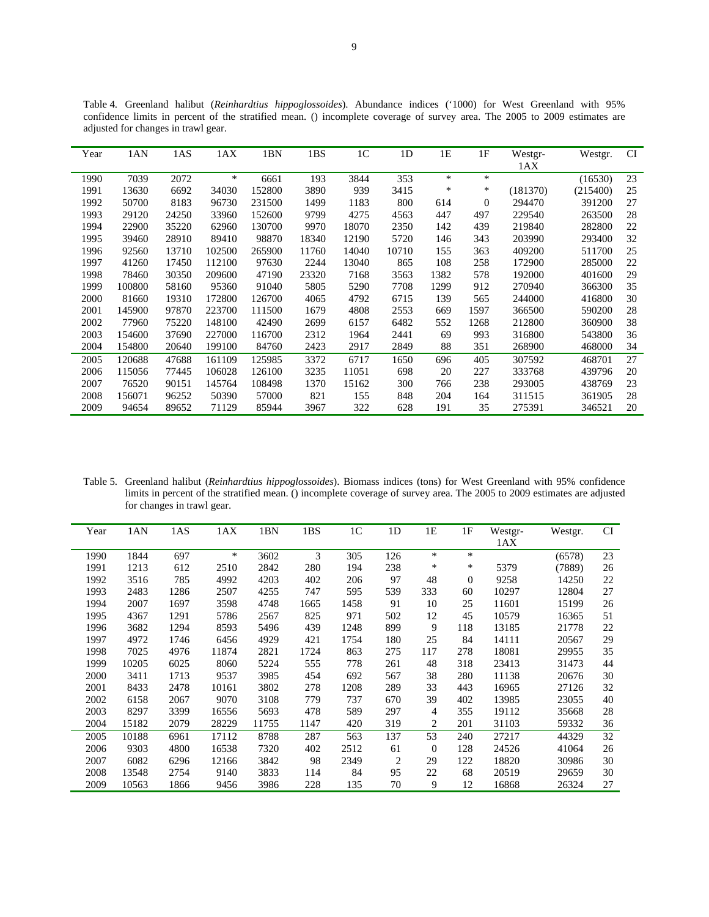| Year | 1AN    | 1AS   | 1AX    | 1BN    | 1BS   | 1 <sup>C</sup> | 1 <sub>D</sub> | 1E   | 1F           | Westgr-  | Westgr.  | <b>CI</b> |
|------|--------|-------|--------|--------|-------|----------------|----------------|------|--------------|----------|----------|-----------|
|      |        |       |        |        |       |                |                |      |              | 1AX      |          |           |
| 1990 | 7039   | 2072  | $\ast$ | 6661   | 193   | 3844           | 353            | *    | *            |          | (16530)  | 23        |
| 1991 | 13630  | 6692  | 34030  | 152800 | 3890  | 939            | 3415           | *    | ∗            | (181370) | (215400) | 25        |
| 1992 | 50700  | 8183  | 96730  | 231500 | 1499  | 1183           | 800            | 614  | $\mathbf{0}$ | 294470   | 391200   | 27        |
| 1993 | 29120  | 24250 | 33960  | 152600 | 9799  | 4275           | 4563           | 447  | 497          | 229540   | 263500   | 28        |
| 1994 | 22900  | 35220 | 62960  | 130700 | 9970  | 18070          | 2350           | 142  | 439          | 219840   | 282800   | 22        |
| 1995 | 39460  | 28910 | 89410  | 98870  | 18340 | 12190          | 5720           | 146  | 343          | 203990   | 293400   | 32        |
| 1996 | 92560  | 13710 | 102500 | 265900 | 11760 | 14040          | 10710          | 155  | 363          | 409200   | 511700   | 25        |
| 1997 | 41260  | 17450 | 112100 | 97630  | 2244  | 13040          | 865            | 108  | 258          | 172900   | 285000   | 22        |
| 1998 | 78460  | 30350 | 209600 | 47190  | 23320 | 7168           | 3563           | 1382 | 578          | 192000   | 401600   | 29        |
| 1999 | 100800 | 58160 | 95360  | 91040  | 5805  | 5290           | 7708           | 1299 | 912          | 270940   | 366300   | 35        |
| 2000 | 81660  | 19310 | 172800 | 126700 | 4065  | 4792           | 6715           | 139  | 565          | 244000   | 416800   | 30        |
| 2001 | 145900 | 97870 | 223700 | 111500 | 1679  | 4808           | 2553           | 669  | 1597         | 366500   | 590200   | 28        |
| 2002 | 77960  | 75220 | 148100 | 42490  | 2699  | 6157           | 6482           | 552  | 1268         | 212800   | 360900   | 38        |
| 2003 | 154600 | 37690 | 227000 | 116700 | 2312  | 1964           | 2441           | 69   | 993          | 316800   | 543800   | 36        |
| 2004 | 154800 | 20640 | 199100 | 84760  | 2423  | 2917           | 2849           | 88   | 351          | 268900   | 468000   | 34        |
| 2005 | 120688 | 47688 | 161109 | 125985 | 3372  | 6717           | 1650           | 696  | 405          | 307592   | 468701   | 27        |
| 2006 | 115056 | 77445 | 106028 | 126100 | 3235  | 11051          | 698            | 20   | 227          | 333768   | 439796   | 20        |
| 2007 | 76520  | 90151 | 145764 | 108498 | 1370  | 15162          | 300            | 766  | 238          | 293005   | 438769   | 23        |
| 2008 | 156071 | 96252 | 50390  | 57000  | 821   | 155            | 848            | 204  | 164          | 311515   | 361905   | 28        |
| 2009 | 94654  | 89652 | 71129  | 85944  | 3967  | 322            | 628            | 191  | 35           | 275391   | 346521   | 20        |

Table 4. Greenland halibut (*Reinhardtius hippoglossoides*). Abundance indices ('1000) for West Greenland with 95% confidence limits in percent of the stratified mean. () incomplete coverage of survey area. The 2005 to 2009 estimates are adjusted for changes in trawl gear.

Table 5. Greenland halibut (*Reinhardtius hippoglossoides*). Biomass indices (tons) for West Greenland with 95% confidence limits in percent of the stratified mean. () incomplete coverage of survey area. The 2005 to 2009 estimates are adjusted for changes in trawl gear.

| Year | 1AN   | 1AS  | 1AX   | 1BN   | 1BS  | 1 <sup>C</sup> | 1 <sub>D</sub> | 1E             | 1F           | Westgr- | Westgr. | <b>CI</b> |
|------|-------|------|-------|-------|------|----------------|----------------|----------------|--------------|---------|---------|-----------|
|      |       |      |       |       |      |                |                |                |              | 1AX     |         |           |
| 1990 | 1844  | 697  | *     | 3602  | 3    | 305            | 126            | $\ast$         | *            |         | (6578)  | 23        |
| 1991 | 1213  | 612  | 2510  | 2842  | 280  | 194            | 238            | *              | $\ast$       | 5379    | (7889)  | 26        |
| 1992 | 3516  | 785  | 4992  | 4203  | 402  | 206            | 97             | 48             | $\mathbf{0}$ | 9258    | 14250   | 22        |
| 1993 | 2483  | 1286 | 2507  | 4255  | 747  | 595            | 539            | 333            | 60           | 10297   | 12804   | 27        |
| 1994 | 2007  | 1697 | 3598  | 4748  | 1665 | 1458           | 91             | 10             | 25           | 11601   | 15199   | 26        |
| 1995 | 4367  | 1291 | 5786  | 2567  | 825  | 971            | 502            | 12             | 45           | 10579   | 16365   | 51        |
| 1996 | 3682  | 1294 | 8593  | 5496  | 439  | 1248           | 899            | 9              | 118          | 13185   | 21778   | 22        |
| 1997 | 4972  | 1746 | 6456  | 4929  | 421  | 1754           | 180            | 25             | 84           | 14111   | 20567   | 29        |
| 1998 | 7025  | 4976 | 11874 | 2821  | 1724 | 863            | 275            | 117            | 278          | 18081   | 29955   | 35        |
| 1999 | 10205 | 6025 | 8060  | 5224  | 555  | 778            | 261            | 48             | 318          | 23413   | 31473   | 44        |
| 2000 | 3411  | 1713 | 9537  | 3985  | 454  | 692            | 567            | 38             | 280          | 11138   | 20676   | 30        |
| 2001 | 8433  | 2478 | 10161 | 3802  | 278  | 1208           | 289            | 33             | 443          | 16965   | 27126   | 32        |
| 2002 | 6158  | 2067 | 9070  | 3108  | 779  | 737            | 670            | 39             | 402          | 13985   | 23055   | 40        |
| 2003 | 8297  | 3399 | 16556 | 5693  | 478  | 589            | 297            | $\overline{4}$ | 355          | 19112   | 35668   | 28        |
| 2004 | 15182 | 2079 | 28229 | 11755 | 1147 | 420            | 319            | 2              | 201          | 31103   | 59332   | 36        |
| 2005 | 10188 | 6961 | 17112 | 8788  | 287  | 563            | 137            | 53             | 240          | 27217   | 44329   | 32        |
| 2006 | 9303  | 4800 | 16538 | 7320  | 402  | 2512           | 61             | $\overline{0}$ | 128          | 24526   | 41064   | 26        |
| 2007 | 6082  | 6296 | 12166 | 3842  | 98   | 2349           | 2              | 29             | 122          | 18820   | 30986   | 30        |
| 2008 | 13548 | 2754 | 9140  | 3833  | 114  | 84             | 95             | 22             | 68           | 20519   | 29659   | 30        |
| 2009 | 10563 | 1866 | 9456  | 3986  | 228  | 135            | 70             | 9              | 12           | 16868   | 26324   | 27        |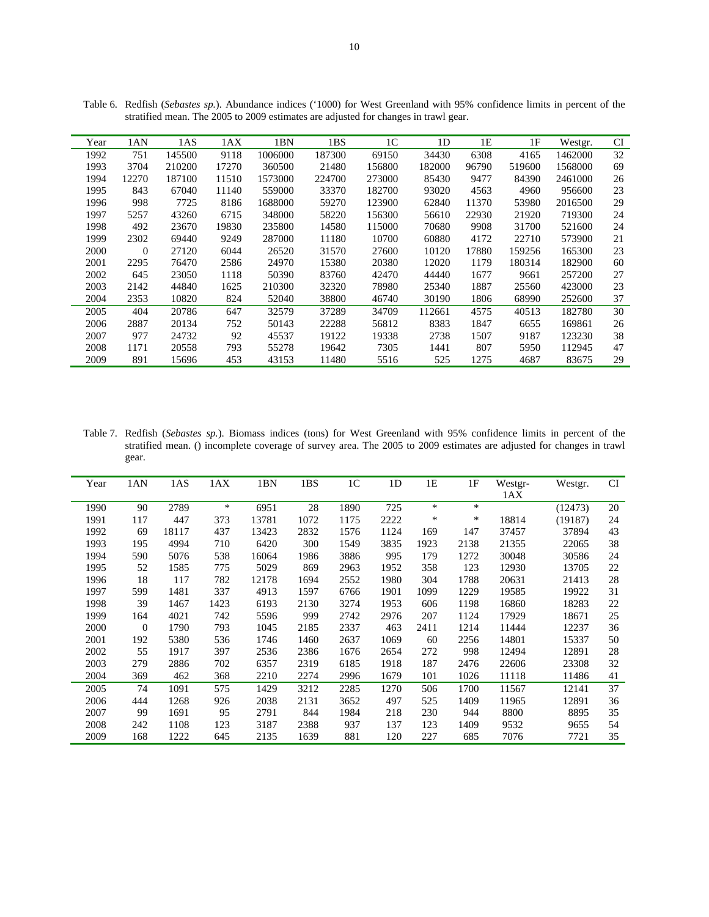| Year | 1AN      | 1AS    | 1AX   | 1BN     | 1BS    | 1 <sup>C</sup> | 1 <sub>D</sub> | 1E    | 1F     | Westgr. | <b>CI</b> |
|------|----------|--------|-------|---------|--------|----------------|----------------|-------|--------|---------|-----------|
| 1992 | 751      | 145500 | 9118  | 1006000 | 187300 | 69150          | 34430          | 6308  | 4165   | 1462000 | 32        |
| 1993 | 3704     | 210200 | 17270 | 360500  | 21480  | 156800         | 182000         | 96790 | 519600 | 1568000 | 69        |
| 1994 | 12270    | 187100 | 11510 | 1573000 | 224700 | 273000         | 85430          | 9477  | 84390  | 2461000 | 26        |
| 1995 | 843      | 67040  | 11140 | 559000  | 33370  | 182700         | 93020          | 4563  | 4960   | 956600  | 23        |
| 1996 | 998      | 7725   | 8186  | 1688000 | 59270  | 123900         | 62840          | 11370 | 53980  | 2016500 | 29        |
| 1997 | 5257     | 43260  | 6715  | 348000  | 58220  | 156300         | 56610          | 22930 | 21920  | 719300  | 24        |
| 1998 | 492      | 23670  | 19830 | 235800  | 14580  | 115000         | 70680          | 9908  | 31700  | 521600  | 24        |
| 1999 | 2302     | 69440  | 9249  | 287000  | 11180  | 10700          | 60880          | 4172  | 22710  | 573900  | 21        |
| 2000 | $\Omega$ | 27120  | 6044  | 26520   | 31570  | 27600          | 10120          | 17880 | 159256 | 165300  | 23        |
| 2001 | 2295     | 76470  | 2586  | 24970   | 15380  | 20380          | 12020          | 1179  | 180314 | 182900  | 60        |
| 2002 | 645      | 23050  | 1118  | 50390   | 83760  | 42470          | 44440          | 1677  | 9661   | 257200  | 27        |
| 2003 | 2142     | 44840  | 1625  | 210300  | 32320  | 78980          | 25340          | 1887  | 25560  | 423000  | 23        |
| 2004 | 2353     | 10820  | 824   | 52040   | 38800  | 46740          | 30190          | 1806  | 68990  | 252600  | 37        |
| 2005 | 404      | 20786  | 647   | 32579   | 37289  | 34709          | 112661         | 4575  | 40513  | 182780  | 30        |
| 2006 | 2887     | 20134  | 752   | 50143   | 22288  | 56812          | 8383           | 1847  | 6655   | 169861  | 26        |
| 2007 | 977      | 24732  | 92    | 45537   | 19122  | 19338          | 2738           | 1507  | 9187   | 123230  | 38        |
| 2008 | 1171     | 20558  | 793   | 55278   | 19642  | 7305           | 1441           | 807   | 5950   | 112945  | 47        |
| 2009 | 891      | 15696  | 453   | 43153   | 11480  | 5516           | 525            | 1275  | 4687   | 83675   | 29        |

Table 6. Redfish (*Sebastes sp.*). Abundance indices ('1000) for West Greenland with 95% confidence limits in percent of the stratified mean. The 2005 to 2009 estimates are adjusted for changes in trawl gear.

Table 7. Redfish (*Sebastes sp.*). Biomass indices (tons) for West Greenland with 95% confidence limits in percent of the stratified mean. () incomplete coverage of survey area. The 2005 to 2009 estimates are adjusted for changes in trawl gear.

| Year | 1AN            | 1AS   | 1AX    | 1BN   | 1BS  | 1 <sup>C</sup> | 1 <sub>D</sub> | 1E   | 1F     | Westgr- | Westgr. | CI |
|------|----------------|-------|--------|-------|------|----------------|----------------|------|--------|---------|---------|----|
|      |                |       |        |       |      |                |                |      |        | 1AX     |         |    |
| 1990 | 90             | 2789  | $\ast$ | 6951  | 28   | 1890           | 725            | *    | $\ast$ |         | (12473) | 20 |
| 1991 | 117            | 447   | 373    | 13781 | 1072 | 1175           | 2222           | *    | *      | 18814   | (19187) | 24 |
| 1992 | 69             | 18117 | 437    | 13423 | 2832 | 1576           | 1124           | 169  | 147    | 37457   | 37894   | 43 |
| 1993 | 195            | 4994  | 710    | 6420  | 300  | 1549           | 3835           | 1923 | 2138   | 21355   | 22065   | 38 |
| 1994 | 590            | 5076  | 538    | 16064 | 1986 | 3886           | 995            | 179  | 1272   | 30048   | 30586   | 24 |
| 1995 | 52             | 1585  | 775    | 5029  | 869  | 2963           | 1952           | 358  | 123    | 12930   | 13705   | 22 |
| 1996 | 18             | 117   | 782    | 12178 | 1694 | 2552           | 1980           | 304  | 1788   | 20631   | 21413   | 28 |
| 1997 | 599            | 1481  | 337    | 4913  | 1597 | 6766           | 1901           | 1099 | 1229   | 19585   | 19922   | 31 |
| 1998 | 39             | 1467  | 1423   | 6193  | 2130 | 3274           | 1953           | 606  | 1198   | 16860   | 18283   | 22 |
| 1999 | 164            | 4021  | 742    | 5596  | 999  | 2742           | 2976           | 207  | 1124   | 17929   | 18671   | 25 |
| 2000 | $\overline{0}$ | 1790  | 793    | 1045  | 2185 | 2337           | 463            | 2411 | 1214   | 11444   | 12237   | 36 |
| 2001 | 192            | 5380  | 536    | 1746  | 1460 | 2637           | 1069           | 60   | 2256   | 14801   | 15337   | 50 |
| 2002 | 55             | 1917  | 397    | 2536  | 2386 | 1676           | 2654           | 272  | 998    | 12494   | 12891   | 28 |
| 2003 | 279            | 2886  | 702    | 6357  | 2319 | 6185           | 1918           | 187  | 2476   | 22606   | 23308   | 32 |
| 2004 | 369            | 462   | 368    | 2210  | 2274 | 2996           | 1679           | 101  | 1026   | 11118   | 11486   | 41 |
| 2005 | 74             | 1091  | 575    | 1429  | 3212 | 2285           | 1270           | 506  | 1700   | 11567   | 12141   | 37 |
| 2006 | 444            | 1268  | 926    | 2038  | 2131 | 3652           | 497            | 525  | 1409   | 11965   | 12891   | 36 |
| 2007 | 99             | 1691  | 95     | 2791  | 844  | 1984           | 218            | 230  | 944    | 8800    | 8895    | 35 |
| 2008 | 242            | 1108  | 123    | 3187  | 2388 | 937            | 137            | 123  | 1409   | 9532    | 9655    | 54 |
| 2009 | 168            | 1222  | 645    | 2135  | 1639 | 881            | 120            | 227  | 685    | 7076    | 7721    | 35 |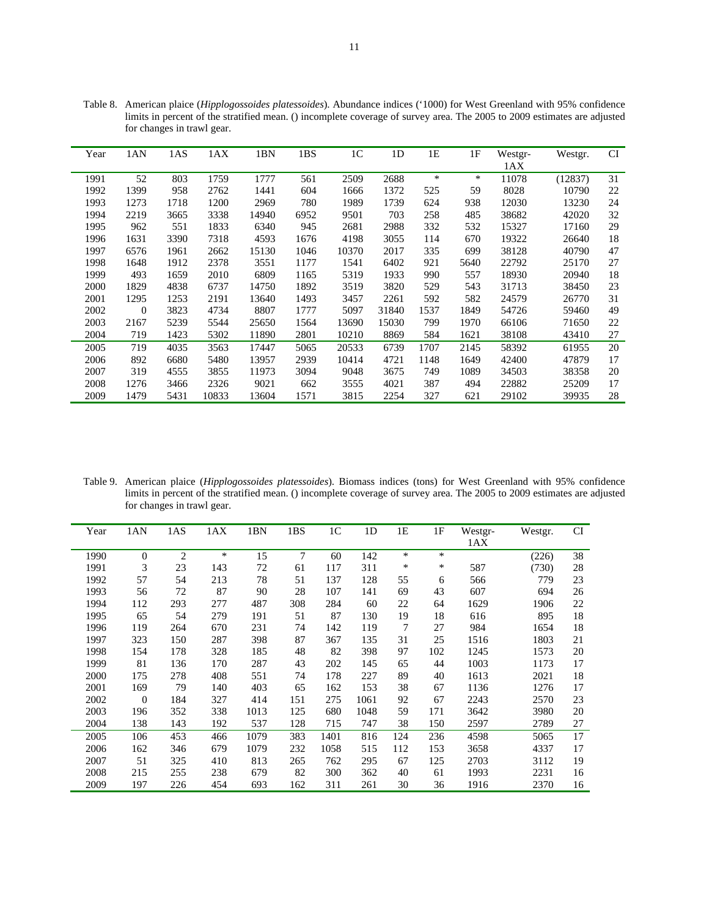| Year | 1AN      | 1AS  | 1AX   | 1BN   | 1BS  | 1 <sup>C</sup> | 1 <sub>D</sub> | 1E     | 1F   | Westgr- | Westgr. | <b>CI</b> |
|------|----------|------|-------|-------|------|----------------|----------------|--------|------|---------|---------|-----------|
|      |          |      |       |       |      |                |                |        |      | 1AX     |         |           |
| 1991 | 52       | 803  | 1759  | 1777  | 561  | 2509           | 2688           | $\ast$ | *    | 11078   | (12837) | 31        |
| 1992 | 1399     | 958  | 2762  | 1441  | 604  | 1666           | 1372           | 525    | 59   | 8028    | 10790   | 22        |
| 1993 | 1273     | 1718 | 1200  | 2969  | 780  | 1989           | 1739           | 624    | 938  | 12030   | 13230   | 24        |
| 1994 | 2219     | 3665 | 3338  | 14940 | 6952 | 9501           | 703            | 258    | 485  | 38682   | 42020   | 32        |
| 1995 | 962      | 551  | 1833  | 6340  | 945  | 2681           | 2988           | 332    | 532  | 15327   | 17160   | 29        |
| 1996 | 1631     | 3390 | 7318  | 4593  | 1676 | 4198           | 3055           | 114    | 670  | 19322   | 26640   | 18        |
| 1997 | 6576     | 1961 | 2662  | 15130 | 1046 | 10370          | 2017           | 335    | 699  | 38128   | 40790   | 47        |
| 1998 | 1648     | 1912 | 2378  | 3551  | 1177 | 1541           | 6402           | 921    | 5640 | 22792   | 25170   | 27        |
| 1999 | 493      | 1659 | 2010  | 6809  | 1165 | 5319           | 1933           | 990    | 557  | 18930   | 20940   | 18        |
| 2000 | 1829     | 4838 | 6737  | 14750 | 1892 | 3519           | 3820           | 529    | 543  | 31713   | 38450   | 23        |
| 2001 | 1295     | 1253 | 2191  | 13640 | 1493 | 3457           | 2261           | 592    | 582  | 24579   | 26770   | 31        |
| 2002 | $\Omega$ | 3823 | 4734  | 8807  | 1777 | 5097           | 31840          | 1537   | 1849 | 54726   | 59460   | 49        |
| 2003 | 2167     | 5239 | 5544  | 25650 | 1564 | 13690          | 15030          | 799    | 1970 | 66106   | 71650   | 22        |
| 2004 | 719      | 1423 | 5302  | 11890 | 2801 | 10210          | 8869           | 584    | 1621 | 38108   | 43410   | 27        |
| 2005 | 719      | 4035 | 3563  | 17447 | 5065 | 20533          | 6739           | 1707   | 2145 | 58392   | 61955   | 20        |
| 2006 | 892      | 6680 | 5480  | 13957 | 2939 | 10414          | 4721           | 1148   | 1649 | 42400   | 47879   | 17        |
| 2007 | 319      | 4555 | 3855  | 11973 | 3094 | 9048           | 3675           | 749    | 1089 | 34503   | 38358   | 20        |
| 2008 | 1276     | 3466 | 2326  | 9021  | 662  | 3555           | 4021           | 387    | 494  | 22882   | 25209   | 17        |
| 2009 | 1479     | 5431 | 10833 | 13604 | 1571 | 3815           | 2254           | 327    | 621  | 29102   | 39935   | 28        |

Table 8. American plaice (*Hipplogossoides platessoides*). Abundance indices ('1000) for West Greenland with 95% confidence limits in percent of the stratified mean. () incomplete coverage of survey area. The 2005 to 2009 estimates are adjusted for changes in trawl gear.

Table 9. American plaice (*Hipplogossoides platessoides*). Biomass indices (tons) for West Greenland with 95% confidence limits in percent of the stratified mean. () incomplete coverage of survey area. The 2005 to 2009 estimates are adjusted for changes in trawl gear.

| Year | 1AN            | 1AS | 1AX | 1BN  | 1BS | 1 <sup>C</sup> | 1 <sub>D</sub> | 1E  | 1F     | Westgr- | Westgr. | <b>CI</b> |
|------|----------------|-----|-----|------|-----|----------------|----------------|-----|--------|---------|---------|-----------|
|      |                |     |     |      |     |                |                |     |        | 1AX     |         |           |
| 1990 | $\overline{0}$ | 2   | *   | 15   | 7   | 60             | 142            | *   | *      |         | (226)   | 38        |
| 1991 | 3              | 23  | 143 | 72   | 61  | 117            | 311            | ∗   | $\ast$ | 587     | (730)   | 28        |
| 1992 | 57             | 54  | 213 | 78   | 51  | 137            | 128            | 55  | 6      | 566     | 779     | 23        |
| 1993 | 56             | 72  | 87  | 90   | 28  | 107            | 141            | 69  | 43     | 607     | 694     | 26        |
| 1994 | 112            | 293 | 277 | 487  | 308 | 284            | 60             | 22  | 64     | 1629    | 1906    | 22        |
| 1995 | 65             | 54  | 279 | 191  | 51  | 87             | 130            | 19  | 18     | 616     | 895     | 18        |
| 1996 | 119            | 264 | 670 | 231  | 74  | 142            | 119            | 7   | 27     | 984     | 1654    | 18        |
| 1997 | 323            | 150 | 287 | 398  | 87  | 367            | 135            | 31  | 25     | 1516    | 1803    | 21        |
| 1998 | 154            | 178 | 328 | 185  | 48  | 82             | 398            | 97  | 102    | 1245    | 1573    | 20        |
| 1999 | 81             | 136 | 170 | 287  | 43  | 202            | 145            | 65  | 44     | 1003    | 1173    | 17        |
| 2000 | 175            | 278 | 408 | 551  | 74  | 178            | 227            | 89  | 40     | 1613    | 2021    | 18        |
| 2001 | 169            | 79  | 140 | 403  | 65  | 162            | 153            | 38  | 67     | 1136    | 1276    | 17        |
| 2002 | $\theta$       | 184 | 327 | 414  | 151 | 275            | 1061           | 92  | 67     | 2243    | 2570    | 23        |
| 2003 | 196            | 352 | 338 | 1013 | 125 | 680            | 1048           | 59  | 171    | 3642    | 3980    | 20        |
| 2004 | 138            | 143 | 192 | 537  | 128 | 715            | 747            | 38  | 150    | 2597    | 2789    | 27        |
| 2005 | 106            | 453 | 466 | 1079 | 383 | 1401           | 816            | 124 | 236    | 4598    | 5065    | 17        |
| 2006 | 162            | 346 | 679 | 1079 | 232 | 1058           | 515            | 112 | 153    | 3658    | 4337    | 17        |
| 2007 | 51             | 325 | 410 | 813  | 265 | 762            | 295            | 67  | 125    | 2703    | 3112    | 19        |
| 2008 | 215            | 255 | 238 | 679  | 82  | 300            | 362            | 40  | 61     | 1993    | 2231    | 16        |
| 2009 | 197            | 226 | 454 | 693  | 162 | 311            | 261            | 30  | 36     | 1916    | 2370    | 16        |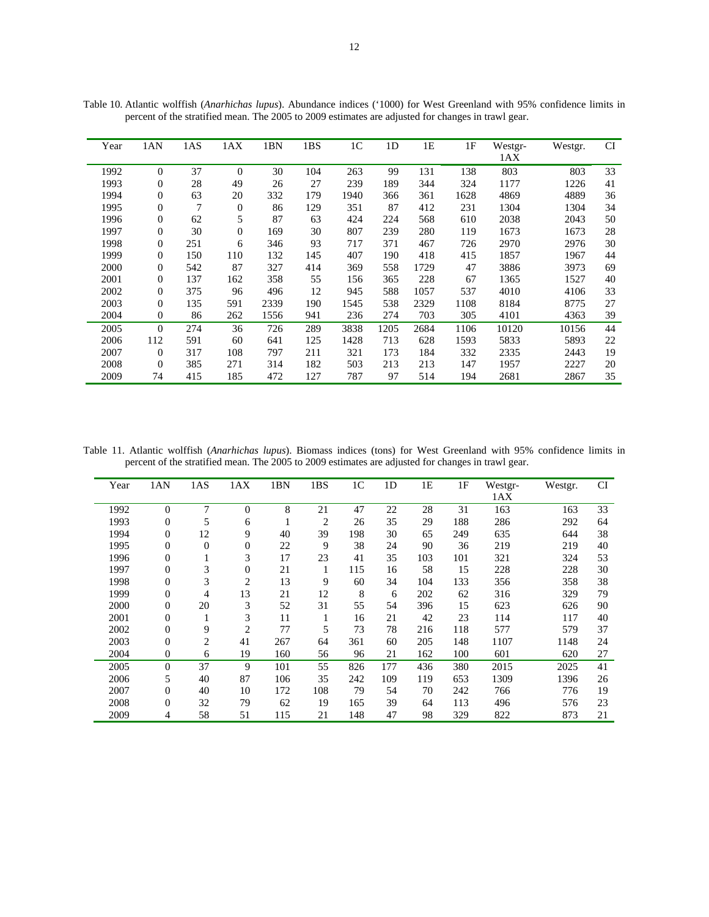| Year | 1AN              | 1AS | 1AX            | 1BN  | 1BS | 1 <sup>C</sup> | 1 <sub>D</sub> | 1E   | 1F   | Westgr- | Westgr. | <b>CI</b> |
|------|------------------|-----|----------------|------|-----|----------------|----------------|------|------|---------|---------|-----------|
|      |                  |     |                |      |     |                |                |      |      | 1AX     |         |           |
| 1992 | $\overline{0}$   | 37  | $\Omega$       | 30   | 104 | 263            | 99             | 131  | 138  | 803     | 803     | 33        |
| 1993 | $\boldsymbol{0}$ | 28  | 49             | 26   | 27  | 239            | 189            | 344  | 324  | 1177    | 1226    | 41        |
| 1994 | $\boldsymbol{0}$ | 63  | 20             | 332  | 179 | 1940           | 366            | 361  | 1628 | 4869    | 4889    | 36        |
| 1995 | $\overline{0}$   | 7   | $\mathbf{0}$   | 86   | 129 | 351            | 87             | 412  | 231  | 1304    | 1304    | 34        |
| 1996 | $\overline{0}$   | 62  | 5              | 87   | 63  | 424            | 224            | 568  | 610  | 2038    | 2043    | 50        |
| 1997 | $\overline{0}$   | 30  | $\overline{0}$ | 169  | 30  | 807            | 239            | 280  | 119  | 1673    | 1673    | 28        |
| 1998 | $\overline{0}$   | 251 | 6              | 346  | 93  | 717            | 371            | 467  | 726  | 2970    | 2976    | 30        |
| 1999 | $\overline{0}$   | 150 | 110            | 132  | 145 | 407            | 190            | 418  | 415  | 1857    | 1967    | 44        |
| 2000 | $\overline{0}$   | 542 | 87             | 327  | 414 | 369            | 558            | 1729 | 47   | 3886    | 3973    | 69        |
| 2001 | $\overline{0}$   | 137 | 162            | 358  | 55  | 156            | 365            | 228  | 67   | 1365    | 1527    | 40        |
| 2002 | 0                | 375 | 96             | 496  | 12  | 945            | 588            | 1057 | 537  | 4010    | 4106    | 33        |
| 2003 | $\overline{0}$   | 135 | 591            | 2339 | 190 | 1545           | 538            | 2329 | 1108 | 8184    | 8775    | 27        |
| 2004 | $\overline{0}$   | 86  | 262            | 1556 | 941 | 236            | 274            | 703  | 305  | 4101    | 4363    | 39        |
| 2005 | $\overline{0}$   | 274 | 36             | 726  | 289 | 3838           | 1205           | 2684 | 1106 | 10120   | 10156   | 44        |
| 2006 | 112              | 591 | 60             | 641  | 125 | 1428           | 713            | 628  | 1593 | 5833    | 5893    | 22        |
| 2007 | $\overline{0}$   | 317 | 108            | 797  | 211 | 321            | 173            | 184  | 332  | 2335    | 2443    | 19        |
| 2008 | $\theta$         | 385 | 271            | 314  | 182 | 503            | 213            | 213  | 147  | 1957    | 2227    | 20        |
| 2009 | 74               | 415 | 185            | 472  | 127 | 787            | 97             | 514  | 194  | 2681    | 2867    | 35        |

Table 10. Atlantic wolffish (*Anarhichas lupus*). Abundance indices ('1000) for West Greenland with 95% confidence limits in percent of the stratified mean. The 2005 to 2009 estimates are adjusted for changes in trawl gear.

Table 11. Atlantic wolffish (*Anarhichas lupus*). Biomass indices (tons) for West Greenland with 95% confidence limits in percent of the stratified mean. The 2005 to 2009 estimates are adjusted for changes in trawl gear.

| Year | 1AN              | 1AS          | 1AX            | 1BN | 1BS            | 1 <sup>C</sup> | 1 <sub>D</sub> | 1E  | 1F  | Westgr- | Westgr. | <b>CI</b> |
|------|------------------|--------------|----------------|-----|----------------|----------------|----------------|-----|-----|---------|---------|-----------|
|      |                  |              |                |     |                |                |                |     |     | 1AX     |         |           |
| 1992 | $\overline{0}$   | 7            | $\overline{0}$ | 8   | 21             | 47             | 22             | 28  | 31  | 163     | 163     | 33        |
| 1993 | $\boldsymbol{0}$ | 5            | 6              |     | $\overline{2}$ | 26             | 35             | 29  | 188 | 286     | 292     | 64        |
| 1994 | $\overline{0}$   | 12           | 9              | 40  | 39             | 198            | 30             | 65  | 249 | 635     | 644     | 38        |
| 1995 | $\boldsymbol{0}$ | $\mathbf{0}$ | 0              | 22  | 9              | 38             | 24             | 90  | 36  | 219     | 219     | 40        |
| 1996 | $\mathbf{0}$     | 1            | 3              | 17  | 23             | 41             | 35             | 103 | 101 | 321     | 324     | 53        |
| 1997 | $\boldsymbol{0}$ | 3            | $\overline{0}$ | 21  | 1              | 115            | 16             | 58  | 15  | 228     | 228     | 30        |
| 1998 | $\boldsymbol{0}$ | 3            | 2              | 13  | 9              | 60             | 34             | 104 | 133 | 356     | 358     | 38        |
| 1999 | 0                | 4            | 13             | 21  | 12             | 8              | 6              | 202 | 62  | 316     | 329     | 79        |
| 2000 | $\boldsymbol{0}$ | 20           | 3              | 52  | 31             | 55             | 54             | 396 | 15  | 623     | 626     | 90        |
| 2001 | $\overline{0}$   | 1            | 3              | 11  |                | 16             | 21             | 42  | 23  | 114     | 117     | 40        |
| 2002 | $\mathbf{0}$     | 9            | 2              | 77  | 5              | 73             | 78             | 216 | 118 | 577     | 579     | 37        |
| 2003 | 0                | 2            | 41             | 267 | 64             | 361            | 60             | 205 | 148 | 1107    | 1148    | 24        |
| 2004 | $\theta$         | 6            | 19             | 160 | 56             | 96             | 21             | 162 | 100 | 601     | 620     | 27        |
| 2005 | $\theta$         | 37           | 9              | 101 | 55             | 826            | 177            | 436 | 380 | 2015    | 2025    | 41        |
| 2006 | 5                | 40           | 87             | 106 | 35             | 242            | 109            | 119 | 653 | 1309    | 1396    | 26        |
| 2007 | $\overline{0}$   | 40           | 10             | 172 | 108            | 79             | 54             | 70  | 242 | 766     | 776     | 19        |
| 2008 | $\overline{0}$   | 32           | 79             | 62  | 19             | 165            | 39             | 64  | 113 | 496     | 576     | 23        |
| 2009 | 4                | 58           | 51             | 115 | 21             | 148            | 47             | 98  | 329 | 822     | 873     | 21        |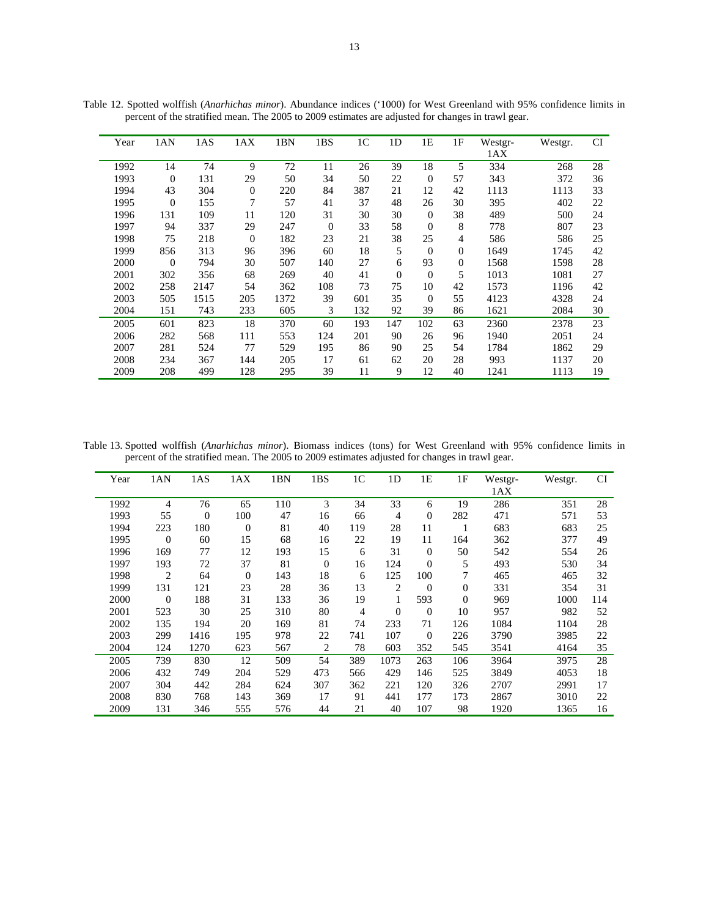| Year | 1AN            | 1AS  | 1AX      | 1BN  | 1BS      | 1 <sup>C</sup> | 1 <sub>D</sub>   | 1Ε       | 1F             | Westgr- | Westgr. | <b>CI</b> |
|------|----------------|------|----------|------|----------|----------------|------------------|----------|----------------|---------|---------|-----------|
|      |                |      |          |      |          |                |                  |          |                | 1AX     |         |           |
| 1992 | 14             | 74   | 9        | 72   | 11       | 26             | 39               | 18       | 5              | 334     | 268     | 28        |
| 1993 | $\overline{0}$ | 131  | 29       | 50   | 34       | 50             | 22               | $\theta$ | 57             | 343     | 372     | 36        |
| 1994 | 43             | 304  | $\theta$ | 220  | 84       | 387            | 21               | 12       | 42             | 1113    | 1113    | 33        |
| 1995 | $\overline{0}$ | 155  | 7        | 57   | 41       | 37             | 48               | 26       | 30             | 395     | 402     | 22        |
| 1996 | 131            | 109  | 11       | 120  | 31       | 30             | 30               | $\theta$ | 38             | 489     | 500     | 24        |
| 1997 | 94             | 337  | 29       | 247  | $\theta$ | 33             | 58               | $\theta$ | 8              | 778     | 807     | 23        |
| 1998 | 75             | 218  | $\Omega$ | 182  | 23       | 21             | 38               | 25       | 4              | 586     | 586     | 25        |
| 1999 | 856            | 313  | 96       | 396  | 60       | 18             | 5                | $\theta$ | $\Omega$       | 1649    | 1745    | 42        |
| 2000 | $\overline{0}$ | 794  | 30       | 507  | 140      | 27             | 6                | 93       | $\overline{0}$ | 1568    | 1598    | 28        |
| 2001 | 302            | 356  | 68       | 269  | 40       | 41             | $\boldsymbol{0}$ | $\theta$ | 5              | 1013    | 1081    | 27        |
| 2002 | 258            | 2147 | 54       | 362  | 108      | 73             | 75               | 10       | 42             | 1573    | 1196    | 42        |
| 2003 | 505            | 1515 | 205      | 1372 | 39       | 601            | 35               | $\Omega$ | 55             | 4123    | 4328    | 24        |
| 2004 | 151            | 743  | 233      | 605  | 3        | 132            | 92               | 39       | 86             | 1621    | 2084    | 30        |
| 2005 | 601            | 823  | 18       | 370  | 60       | 193            | 147              | 102      | 63             | 2360    | 2378    | 23        |
| 2006 | 282            | 568  | 111      | 553  | 124      | 201            | 90               | 26       | 96             | 1940    | 2051    | 24        |
| 2007 | 281            | 524  | 77       | 529  | 195      | 86             | 90               | 25       | 54             | 1784    | 1862    | 29        |
| 2008 | 234            | 367  | 144      | 205  | 17       | 61             | 62               | 20       | 28             | 993     | 1137    | 20        |
| 2009 | 208            | 499  | 128      | 295  | 39       | 11             | 9                | 12       | 40             | 1241    | 1113    | 19        |

Table 12. Spotted wolffish (*Anarhichas minor*). Abundance indices ('1000) for West Greenland with 95% confidence limits in percent of the stratified mean. The 2005 to 2009 estimates are adjusted for changes in trawl gear.

Table 13. Spotted wolffish (*Anarhichas minor*). Biomass indices (tons) for West Greenland with 95% confidence limits in percent of the stratified mean. The 2005 to 2009 estimates adjusted for changes in trawl gear.

| Year | 1AN      | 1AS              | 1AX              | 1BN | 1BS            | 1 <sup>C</sup> | 1 <sub>D</sub> | 1E               | 1F             | Westgr- | Westgr. | <b>CI</b> |
|------|----------|------------------|------------------|-----|----------------|----------------|----------------|------------------|----------------|---------|---------|-----------|
|      |          |                  |                  |     |                |                |                |                  |                | 1AX     |         |           |
| 1992 | 4        | 76               | 65               | 110 | 3              | 34             | 33             | 6                | 19             | 286     | 351     | 28        |
| 1993 | 55       | $\boldsymbol{0}$ | 100              | 47  | 16             | 66             | 4              | $\boldsymbol{0}$ | 282            | 471     | 571     | 53        |
| 1994 | 223      | 180              | $\boldsymbol{0}$ | 81  | 40             | 119            | 28             | 11               | 1              | 683     | 683     | 25        |
| 1995 | $\theta$ | 60               | 15               | 68  | 16             | 22             | 19             | 11               | 164            | 362     | 377     | 49        |
| 1996 | 169      | 77               | 12               | 193 | 15             | 6              | 31             | $\mathbf{0}$     | 50             | 542     | 554     | 26        |
| 1997 | 193      | 72               | 37               | 81  | $\overline{0}$ | 16             | 124            | $\overline{0}$   | 5              | 493     | 530     | 34        |
| 1998 | 2        | 64               | $\overline{0}$   | 143 | 18             | 6              | 125            | 100              | 7              | 465     | 465     | 32        |
| 1999 | 131      | 121              | 23               | 28  | 36             | 13             | 2              | $\boldsymbol{0}$ | $\overline{0}$ | 331     | 354     | 31        |
| 2000 | $\theta$ | 188              | 31               | 133 | 36             | 19             |                | 593              | $\theta$       | 969     | 1000    | 114       |
| 2001 | 523      | 30               | 25               | 310 | 80             | 4              | $\overline{0}$ | $\overline{0}$   | 10             | 957     | 982     | 52        |
| 2002 | 135      | 194              | 20               | 169 | 81             | 74             | 233            | 71               | 126            | 1084    | 1104    | 28        |
| 2003 | 299      | 1416             | 195              | 978 | 22             | 741            | 107            | $\theta$         | 226            | 3790    | 3985    | 22        |
| 2004 | 124      | 1270             | 623              | 567 | $\overline{2}$ | 78             | 603            | 352              | 545            | 3541    | 4164    | 35        |
| 2005 | 739      | 830              | 12               | 509 | 54             | 389            | 1073           | 263              | 106            | 3964    | 3975    | 28        |
| 2006 | 432      | 749              | 204              | 529 | 473            | 566            | 429            | 146              | 525            | 3849    | 4053    | 18        |
| 2007 | 304      | 442              | 284              | 624 | 307            | 362            | 221            | 120              | 326            | 2707    | 2991    | 17        |
| 2008 | 830      | 768              | 143              | 369 | 17             | 91             | 441            | 177              | 173            | 2867    | 3010    | 22        |
| 2009 | 131      | 346              | 555              | 576 | 44             | 21             | 40             | 107              | 98             | 1920    | 1365    | 16        |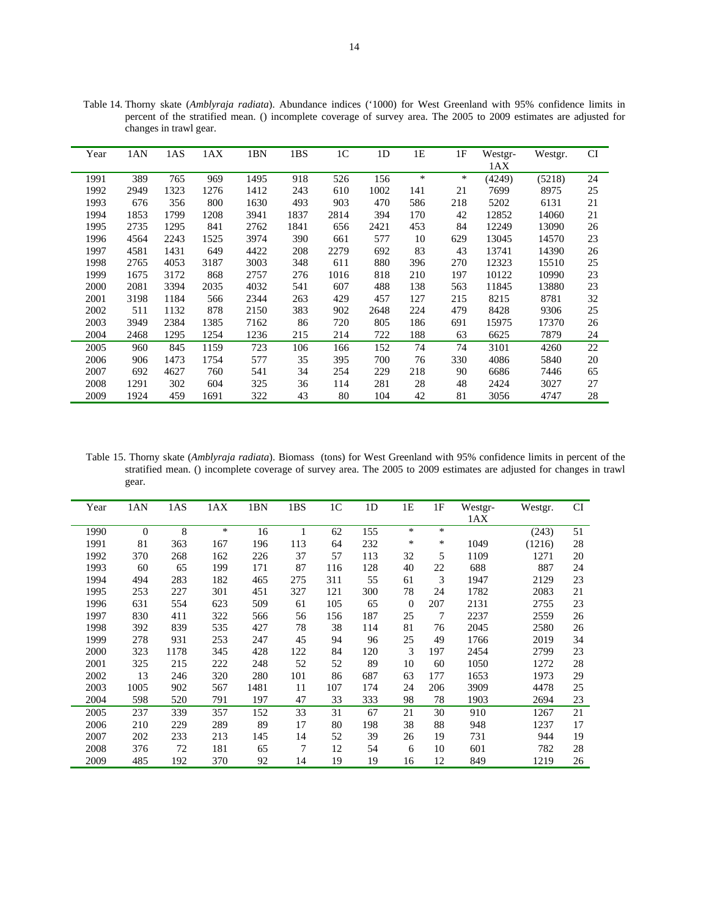| Year | 1AN  | 1AS  | 1AX  | 1BN  | 1BS  | 1 <sup>C</sup> | 1 <sub>D</sub> | 1E     | 1F     | Westgr- | Westgr. | CI |
|------|------|------|------|------|------|----------------|----------------|--------|--------|---------|---------|----|
|      |      |      |      |      |      |                |                |        |        | 1AX     |         |    |
| 1991 | 389  | 765  | 969  | 1495 | 918  | 526            | 156            | $\ast$ | $\ast$ | (4249)  | (5218)  | 24 |
| 1992 | 2949 | 1323 | 1276 | 1412 | 243  | 610            | 1002           | 141    | 21     | 7699    | 8975    | 25 |
| 1993 | 676  | 356  | 800  | 1630 | 493  | 903            | 470            | 586    | 218    | 5202    | 6131    | 21 |
| 1994 | 1853 | 1799 | 1208 | 3941 | 1837 | 2814           | 394            | 170    | 42     | 12852   | 14060   | 21 |
| 1995 | 2735 | 1295 | 841  | 2762 | 1841 | 656            | 2421           | 453    | 84     | 12249   | 13090   | 26 |
| 1996 | 4564 | 2243 | 1525 | 3974 | 390  | 661            | 577            | 10     | 629    | 13045   | 14570   | 23 |
| 1997 | 4581 | 1431 | 649  | 4422 | 208  | 2279           | 692            | 83     | 43     | 13741   | 14390   | 26 |
| 1998 | 2765 | 4053 | 3187 | 3003 | 348  | 611            | 880            | 396    | 270    | 12323   | 15510   | 25 |
| 1999 | 1675 | 3172 | 868  | 2757 | 276  | 1016           | 818            | 210    | 197    | 10122   | 10990   | 23 |
| 2000 | 2081 | 3394 | 2035 | 4032 | 541  | 607            | 488            | 138    | 563    | 11845   | 13880   | 23 |
| 2001 | 3198 | 1184 | 566  | 2344 | 263  | 429            | 457            | 127    | 215    | 8215    | 8781    | 32 |
| 2002 | 511  | 1132 | 878  | 2150 | 383  | 902            | 2648           | 224    | 479    | 8428    | 9306    | 25 |
| 2003 | 3949 | 2384 | 1385 | 7162 | 86   | 720            | 805            | 186    | 691    | 15975   | 17370   | 26 |
| 2004 | 2468 | 1295 | 1254 | 1236 | 215  | 214            | 722            | 188    | 63     | 6625    | 7879    | 24 |
| 2005 | 960  | 845  | 1159 | 723  | 106  | 166            | 152            | 74     | 74     | 3101    | 4260    | 22 |
| 2006 | 906  | 1473 | 1754 | 577  | 35   | 395            | 700            | 76     | 330    | 4086    | 5840    | 20 |
| 2007 | 692  | 4627 | 760  | 541  | 34   | 254            | 229            | 218    | 90     | 6686    | 7446    | 65 |
| 2008 | 1291 | 302  | 604  | 325  | 36   | 114            | 281            | 28     | 48     | 2424    | 3027    | 27 |
| 2009 | 1924 | 459  | 1691 | 322  | 43   | 80             | 104            | 42     | 81     | 3056    | 4747    | 28 |

Table 14. Thorny skate (*Amblyraja radiata*). Abundance indices ('1000) for West Greenland with 95% confidence limits in percent of the stratified mean. () incomplete coverage of survey area. The 2005 to 2009 estimates are adjusted for changes in trawl gear.

 Table 15. Thorny skate (*Amblyraja radiata*). Biomass (tons) for West Greenland with 95% confidence limits in percent of the stratified mean. () incomplete coverage of survey area. The 2005 to 2009 estimates are adjusted for changes in trawl gear.

| Year | 1AN      | 1AS  | 1AX    | 1BN  | 1BS | 1 <sup>C</sup> | 1 <sub>D</sub> | 1E             | 1F  | Westgr- | Westgr. | <b>CI</b> |
|------|----------|------|--------|------|-----|----------------|----------------|----------------|-----|---------|---------|-----------|
|      |          |      |        |      |     |                |                |                |     | 1AX     |         |           |
| 1990 | $\theta$ | 8    | $\ast$ | 16   | 1   | 62             | 155            | $\ast$         | *   |         | (243)   | 51        |
| 1991 | 81       | 363  | 167    | 196  | 113 | 64             | 232            | $\ast$         | ∗   | 1049    | (1216)  | 28        |
| 1992 | 370      | 268  | 162    | 226  | 37  | 57             | 113            | 32             | 5   | 1109    | 1271    | 20        |
| 1993 | 60       | 65   | 199    | 171  | 87  | 116            | 128            | 40             | 22  | 688     | 887     | 24        |
| 1994 | 494      | 283  | 182    | 465  | 275 | 311            | 55             | 61             | 3   | 1947    | 2129    | 23        |
| 1995 | 253      | 227  | 301    | 451  | 327 | 121            | 300            | 78             | 24  | 1782    | 2083    | 21        |
| 1996 | 631      | 554  | 623    | 509  | 61  | 105            | 65             | $\overline{0}$ | 207 | 2131    | 2755    | 23        |
| 1997 | 830      | 411  | 322    | 566  | 56  | 156            | 187            | 25             | 7   | 2237    | 2559    | 26        |
| 1998 | 392      | 839  | 535    | 427  | 78  | 38             | 114            | 81             | 76  | 2045    | 2580    | 26        |
| 1999 | 278      | 931  | 253    | 247  | 45  | 94             | 96             | 25             | 49  | 1766    | 2019    | 34        |
| 2000 | 323      | 1178 | 345    | 428  | 122 | 84             | 120            | 3              | 197 | 2454    | 2799    | 23        |
| 2001 | 325      | 215  | 222    | 248  | 52  | 52             | 89             | 10             | 60  | 1050    | 1272    | 28        |
| 2002 | 13       | 246  | 320    | 280  | 101 | 86             | 687            | 63             | 177 | 1653    | 1973    | 29        |
| 2003 | 1005     | 902  | 567    | 1481 | 11  | 107            | 174            | 24             | 206 | 3909    | 4478    | 25        |
| 2004 | 598      | 520  | 791    | 197  | 47  | 33             | 333            | 98             | 78  | 1903    | 2694    | 23        |
| 2005 | 237      | 339  | 357    | 152  | 33  | 31             | 67             | 21             | 30  | 910     | 1267    | 21        |
| 2006 | 210      | 229  | 289    | 89   | 17  | 80             | 198            | 38             | 88  | 948     | 1237    | 17        |
| 2007 | 202      | 233  | 213    | 145  | 14  | 52             | 39             | 26             | 19  | 731     | 944     | 19        |
| 2008 | 376      | 72   | 181    | 65   | 7   | 12             | 54             | 6              | 10  | 601     | 782     | 28        |
| 2009 | 485      | 192  | 370    | 92   | 14  | 19             | 19             | 16             | 12  | 849     | 1219    | 26        |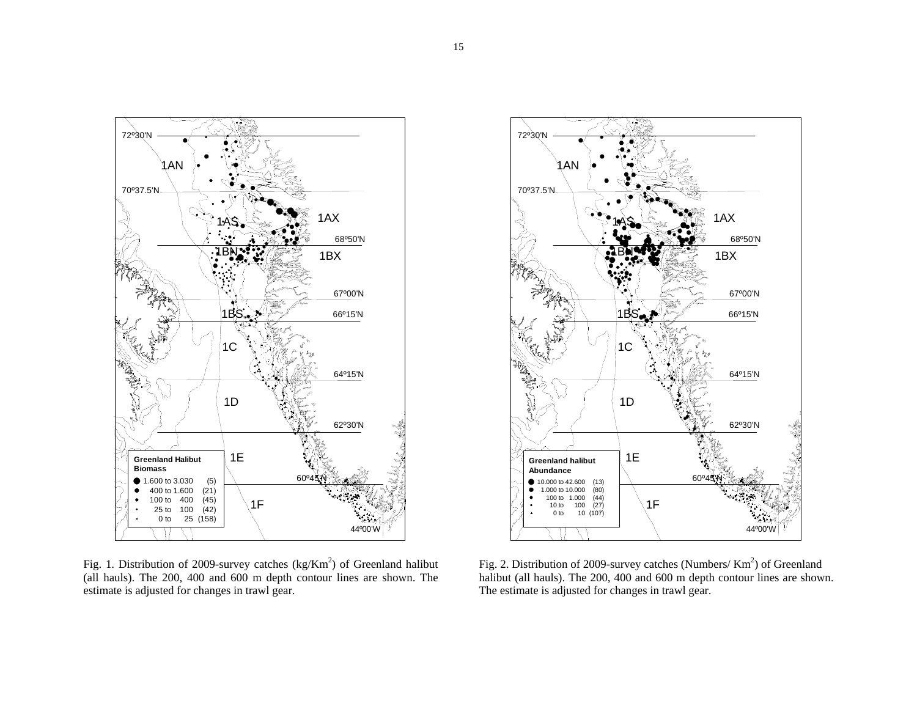

Fig. 1. Distribution of 2009-survey catches  $(kg/Km^2)$  of Greenland halibut (all hauls). The 200, 400 and 600 m depth contour lines are shown. The estimate is adjusted for changes in trawl gear.



Fig. 2. Distribution of 2009-survey catches (Numbers/ Km<sup>2</sup>) of Greenland halibut (all hauls). The 200, 400 and 600 m depth contour lines are shown. The estimate is adjusted for changes in trawl gear.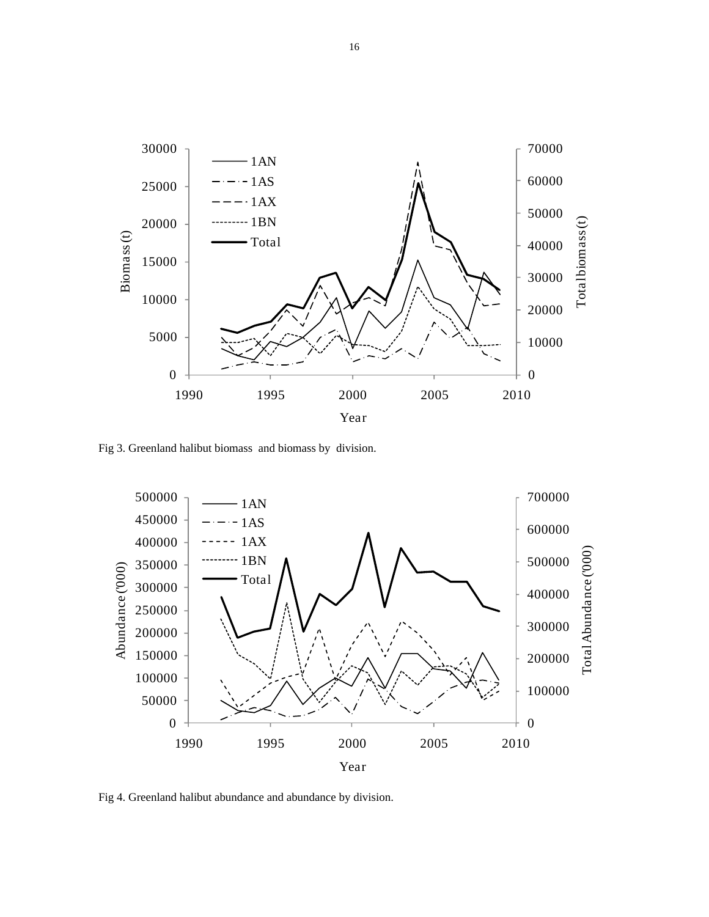

Fig 3. Greenland halibut biomass and biomass by division.



Fig 4. Greenland halibut abundance and abundance by division.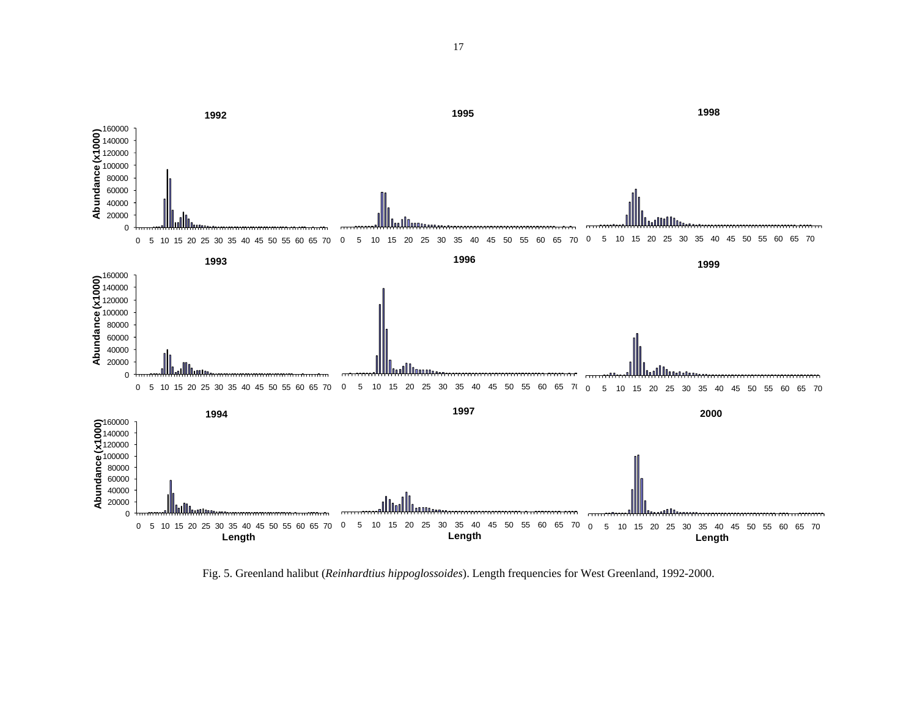

Fig. 5. Greenland halibut (*Reinhardtius hippoglossoides*). Length frequencies for West Greenland, 1992-2000.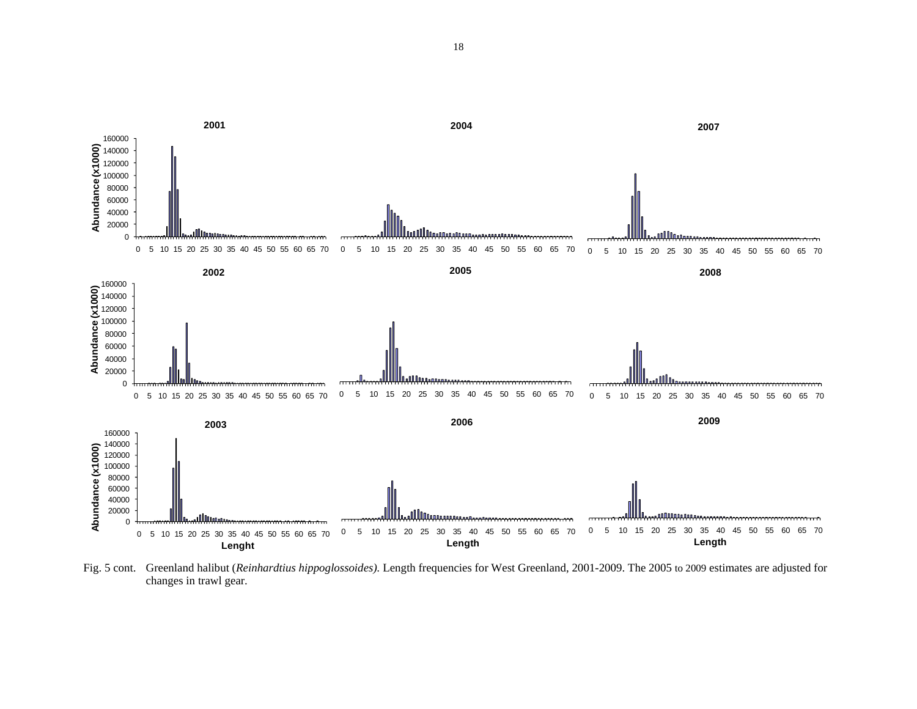

Fig. 5 cont. Greenland halibut (*Reinhardtius hippoglossoides).* Length frequencies for West Greenland, 2001-2009. The 2005 to 2009 estimates are adjusted for changes in trawl gear.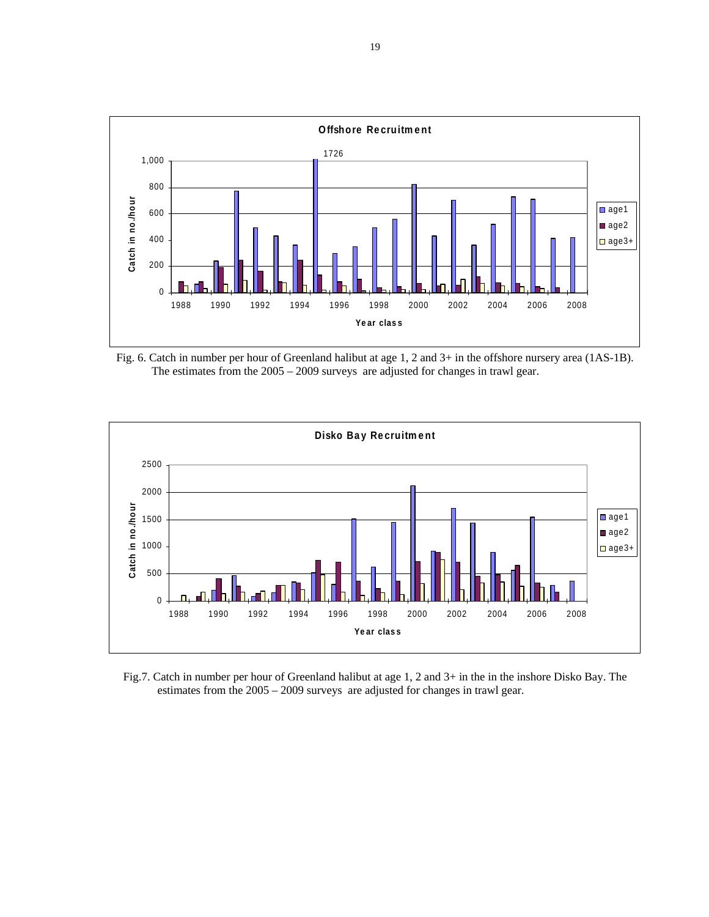

Fig. 6. Catch in number per hour of Greenland halibut at age 1, 2 and 3+ in the offshore nursery area (1AS-1B). The estimates from the 2005 – 2009 surveys are adjusted for changes in trawl gear.



Fig.7. Catch in number per hour of Greenland halibut at age 1, 2 and 3+ in the in the inshore Disko Bay. The estimates from the 2005 – 2009 surveys are adjusted for changes in trawl gear.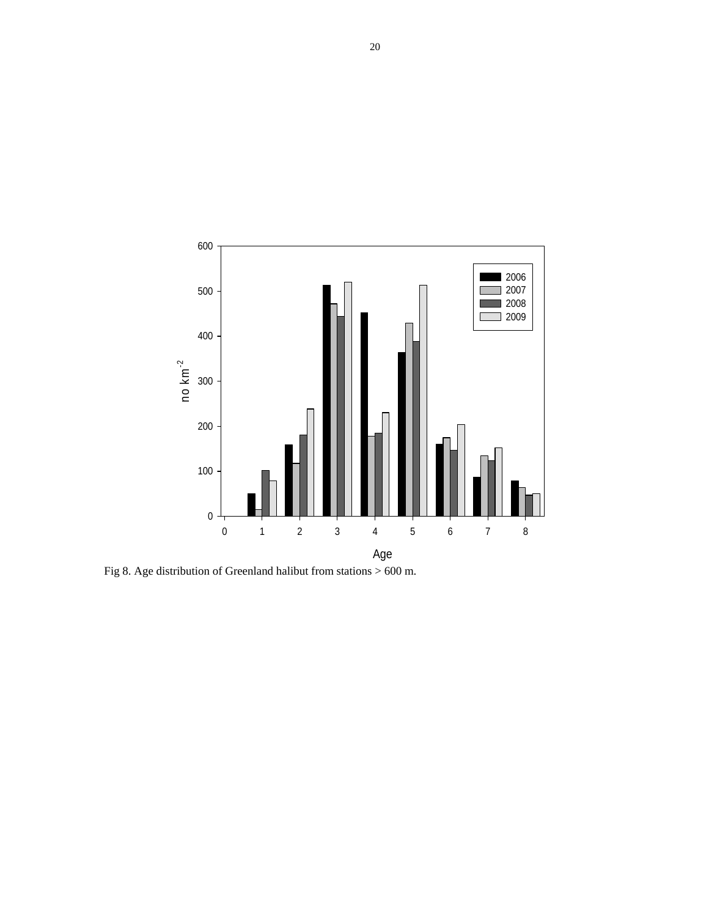

Fig 8. Age distribution of Greenland halibut from stations > 600 m.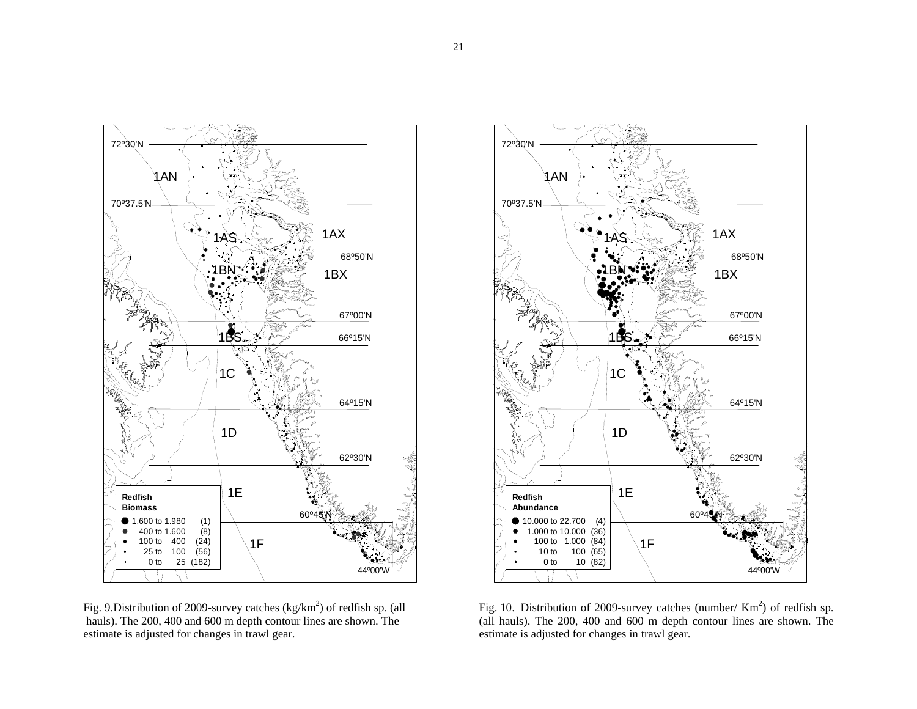

Fig. 9.Distribution of 2009-survey catches (kg/km<sup>2</sup>) of redfish sp. (all hauls). The 200, 400 and 600 m depth contour lines are shown. The estimate is adjusted for changes in trawl gear.



Fig. 10. Distribution of 2009-survey catches (number/ $Km<sup>2</sup>$ ) of redfish sp. (all hauls). The 200, 400 and 600 m depth contour lines are shown. The estimate is adjusted for changes in trawl gear.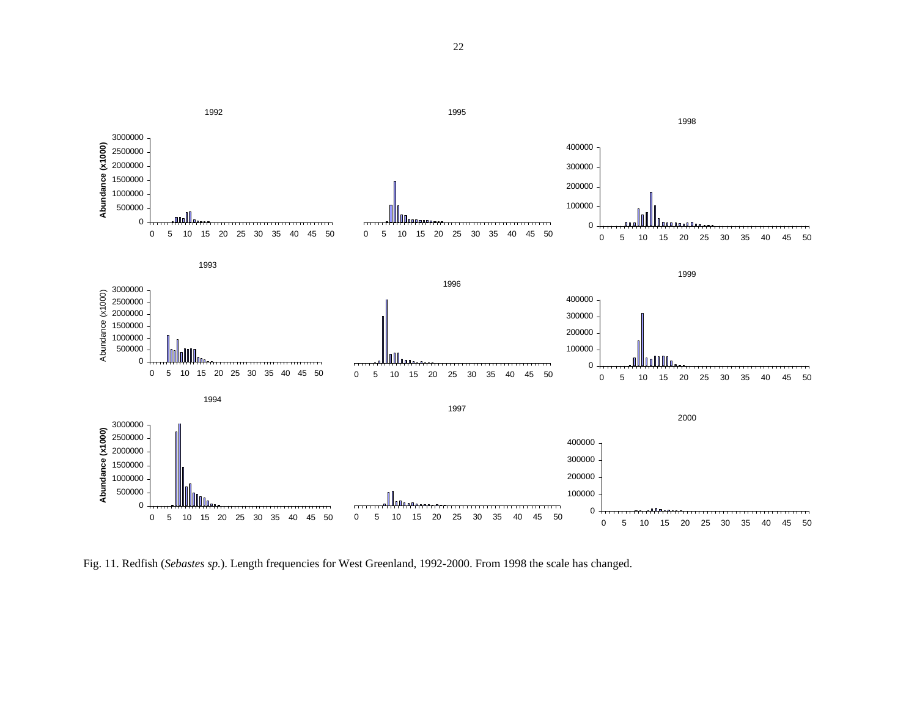

Fig. 11. Redfish (*Sebastes sp.*). Length frequencies for West Greenland, 1992-2000. From 1998 the scale has changed.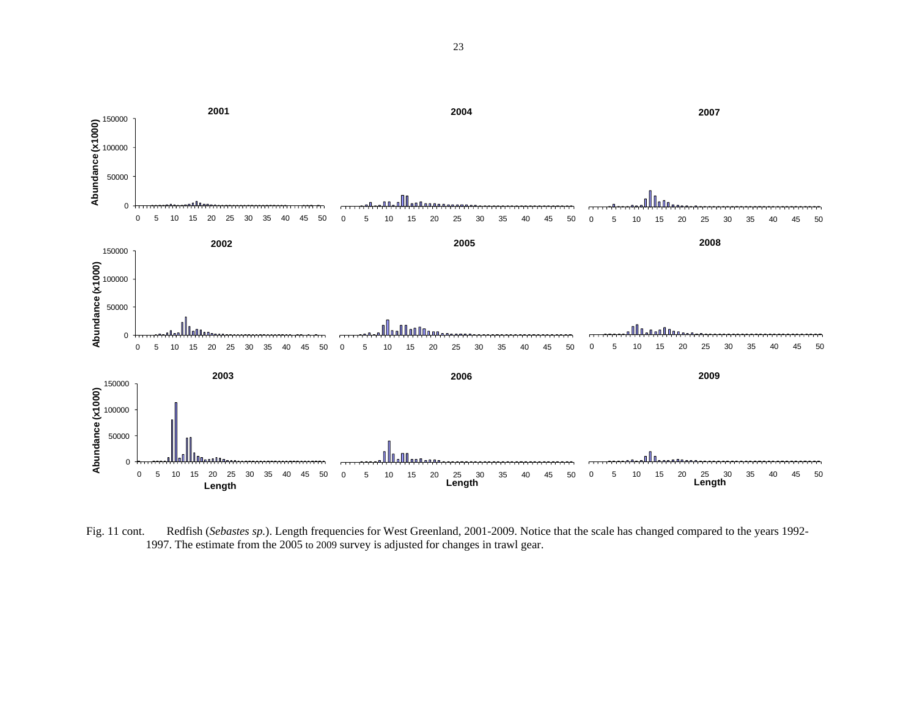

 Fig. 11 cont. Redfish (*Sebastes sp.*). Length frequencies for West Greenland, 2001-2009. Notice that the scale has changed compared to the years 1992- 1997. The estimate from the 2005 to 2009 survey is adjusted for changes in trawl gear.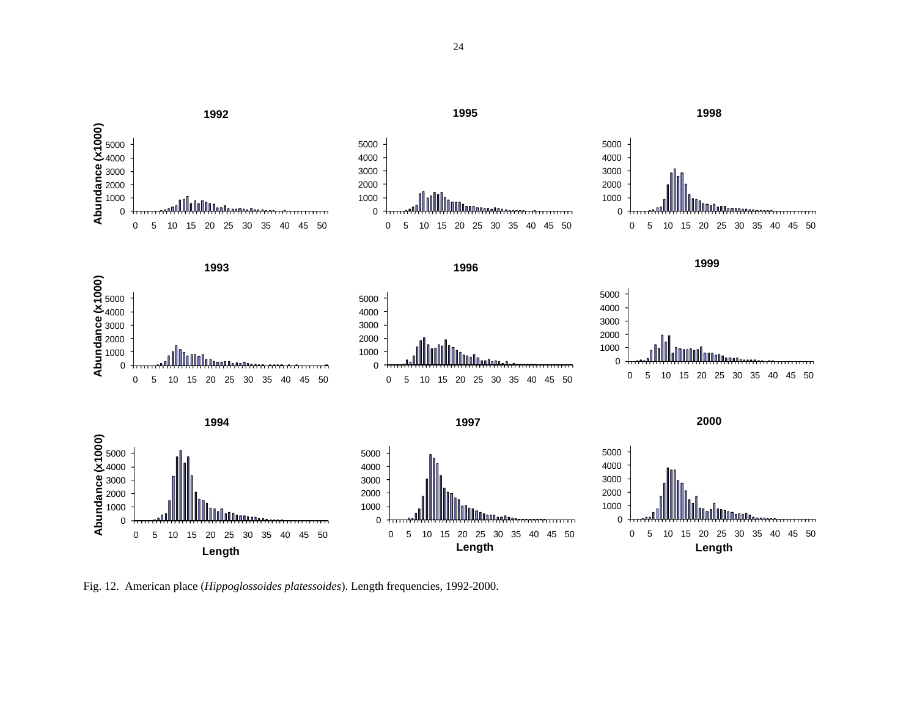

Fig. 12. American place (*Hippoglossoides platessoides*). Length frequencies, 1992-2000.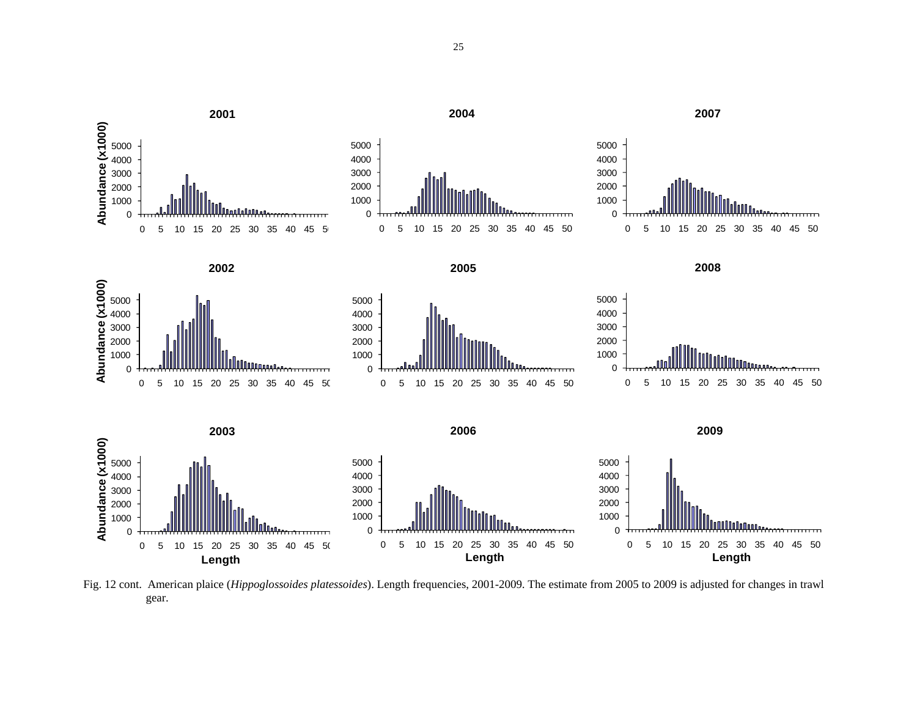

Fig. 12 cont. American plaice (*Hippoglossoides platessoides*). Length frequencies, 2001-2009. The estimate from 2005 to 2009 is adjusted for changes in trawl gear.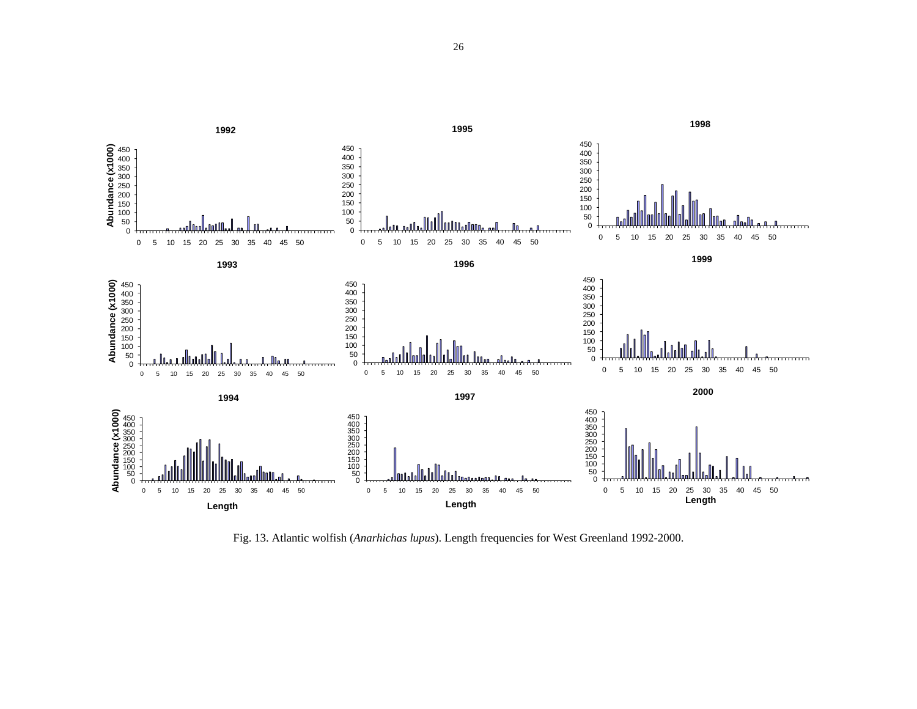

Fig. 13. Atlantic wolfish (*Anarhichas lupus*). Length frequencies for West Greenland 1992-2000.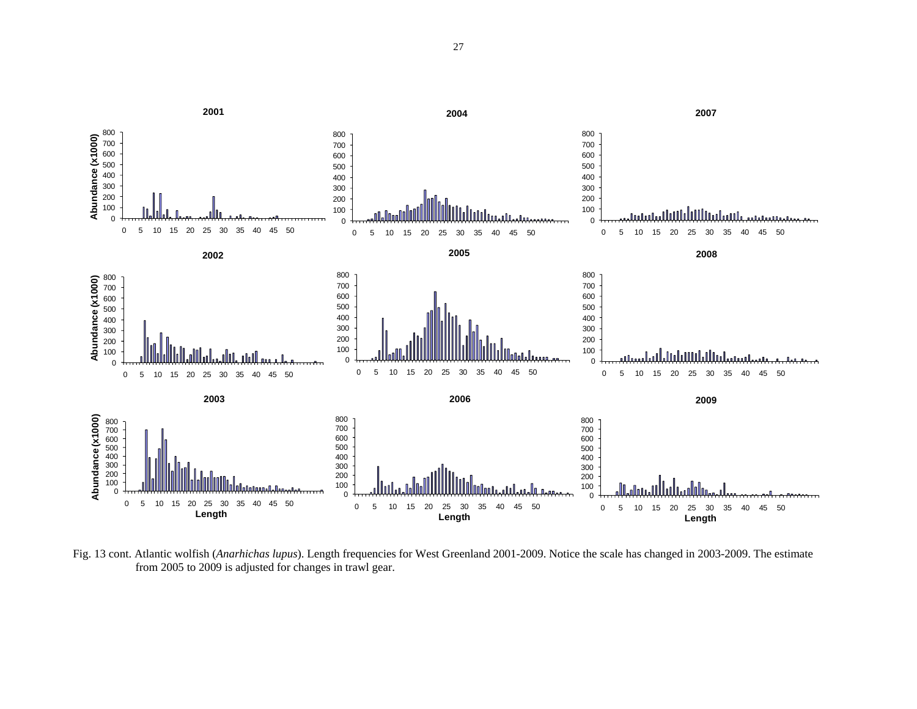

Fig. 13 cont. Atlantic wolfish (*Anarhichas lupus*). Length frequencies for West Greenland 2001-2009. Notice the scale has changed in 2003-2009. The estimate from 2005 to 2009 is adjusted for changes in trawl gear.